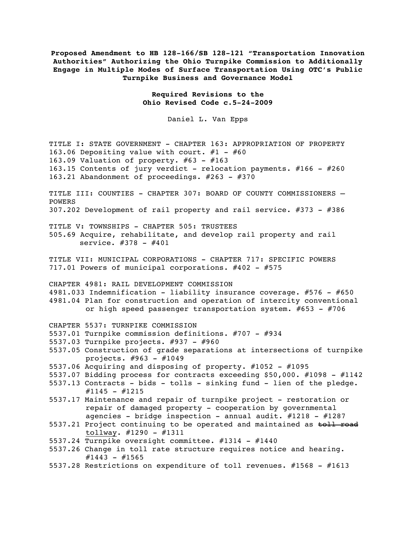**Proposed Amendment to HB 128-166/SB 128-121 "Transportation Innovation Authorities" Authorizing the Ohio Turnpike Commission to Additionally Engage in Multiple Modes of Surface Transportation Using OTC's Public Turnpike Business and Governance Model**

> **Required Revisions to the Ohio Revised Code c.5-24-2009**

> > Daniel L. Van Epps

TITLE I: STATE GOVERNMENT - CHAPTER 163: APPROPRIATION OF PROPERTY 163.06 Depositing value with court.  $#1 - #60$ 163.09 Valuation of property. #63 - #163 163.15 Contents of jury verdict - relocation payments. #166 - #260 163.21 Abandonment of proceedings. #263 - #370 TITLE III: COUNTIES - CHAPTER 307: BOARD OF COUNTY COMMISSIONERS -POWERS 307.202 Development of rail property and rail service. #373 - #386 TITLE V: TOWNSHIPS - CHAPTER 505: TRUSTEES 505.69 Acquire, rehabilitate, and develop rail property and rail service. #378 - #401 TITLE VII: MUNICIPAL CORPORATIONS - CHAPTER 717: SPECIFIC POWERS 717.01 Powers of municipal corporations. #402 - #575 CHAPTER 4981: RAIL DEVELOPMENT COMMISSION 4981.033 Indemnification - liability insurance coverage. #576 - #650 4981.04 Plan for construction and operation of intercity conventional or high speed passenger transportation system. #653 - #706 CHAPTER 5537: TURNPIKE COMMISSION 5537.01 Turnpike commission definitions. #707 - #934 5537.03 Turnpike projects. #937 - #960 5537.05 Construction of grade separations at intersections of turnpike projects. #963 - #1049 5537.06 Acquiring and disposing of property. #1052 - #1095 5537.07 Bidding process for contracts exceeding \$50,000. #1098 - #1142 5537.13 Contracts - bids - tolls - sinking fund - lien of the pledge.  $\#1145 - \#1215$ 

5537.17 Maintenance and repair of turnpike project - restoration or repair of damaged property - cooperation by governmental agencies - bridge inspection - annual audit.  $\#1218$  -  $\#1287$ 

5537.21 Project continuing to be operated and maintained as toll road tollway. #1290 - #1311

- 5537.24 Turnpike oversight committee. #1314 #1440
- 5537.26 Change in toll rate structure requires notice and hearing.  $\#1443 - \#1565$
- 5537.28 Restrictions on expenditure of toll revenues. #1568 #1613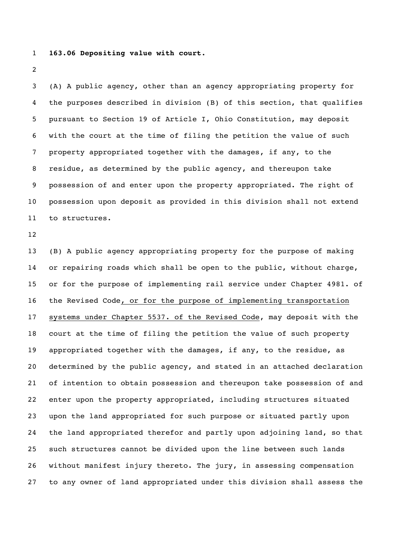## **163.06 Depositing value with court.**

 (A) A public agency, other than an agency appropriating property for the purposes described in division (B) of this section, that qualifies pursuant to Section 19 of Article I, Ohio Constitution, may deposit with the court at the time of filing the petition the value of such property appropriated together with the damages, if any, to the residue, as determined by the public agency, and thereupon take possession of and enter upon the property appropriated. The right of possession upon deposit as provided in this division shall not extend to structures.

 (B) A public agency appropriating property for the purpose of making or repairing roads which shall be open to the public, without charge, or for the purpose of implementing rail service under Chapter 4981. of the Revised Code, or for the purpose of implementing transportation systems under Chapter 5537. of the Revised Code, may deposit with the court at the time of filing the petition the value of such property appropriated together with the damages, if any, to the residue, as determined by the public agency, and stated in an attached declaration of intention to obtain possession and thereupon take possession of and enter upon the property appropriated, including structures situated upon the land appropriated for such purpose or situated partly upon the land appropriated therefor and partly upon adjoining land, so that such structures cannot be divided upon the line between such lands without manifest injury thereto. The jury, in assessing compensation to any owner of land appropriated under this division shall assess the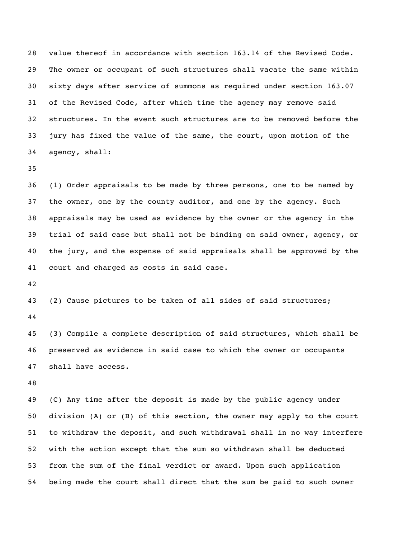value thereof in accordance with section 163.14 of the Revised Code. The owner or occupant of such structures shall vacate the same within sixty days after service of summons as required under section 163.07 of the Revised Code, after which time the agency may remove said structures. In the event such structures are to be removed before the jury has fixed the value of the same, the court, upon motion of the agency, shall:

 (1) Order appraisals to be made by three persons, one to be named by the owner, one by the county auditor, and one by the agency. Such appraisals may be used as evidence by the owner or the agency in the trial of said case but shall not be binding on said owner, agency, or the jury, and the expense of said appraisals shall be approved by the court and charged as costs in said case.

 (2) Cause pictures to be taken of all sides of said structures; 

 (3) Compile a complete description of said structures, which shall be preserved as evidence in said case to which the owner or occupants shall have access.

 (C) Any time after the deposit is made by the public agency under division (A) or (B) of this section, the owner may apply to the court to withdraw the deposit, and such withdrawal shall in no way interfere with the action except that the sum so withdrawn shall be deducted from the sum of the final verdict or award. Upon such application being made the court shall direct that the sum be paid to such owner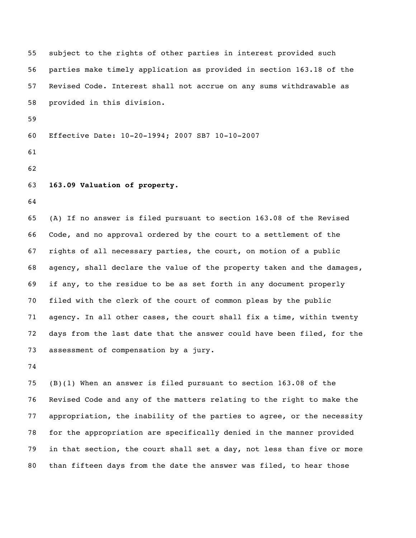subject to the rights of other parties in interest provided such parties make timely application as provided in section 163.18 of the Revised Code. Interest shall not accrue on any sums withdrawable as provided in this division. Effective Date: 10-20-1994; 2007 SB7 10-10-2007 **163.09 Valuation of property.** (A) If no answer is filed pursuant to section 163.08 of the Revised Code, and no approval ordered by the court to a settlement of the rights of all necessary parties, the court, on motion of a public agency, shall declare the value of the property taken and the damages, if any, to the residue to be as set forth in any document properly filed with the clerk of the court of common pleas by the public agency. In all other cases, the court shall fix a time, within twenty days from the last date that the answer could have been filed, for the assessment of compensation by a jury.

 (B)(1) When an answer is filed pursuant to section 163.08 of the Revised Code and any of the matters relating to the right to make the appropriation, the inability of the parties to agree, or the necessity for the appropriation are specifically denied in the manner provided in that section, the court shall set a day, not less than five or more than fifteen days from the date the answer was filed, to hear those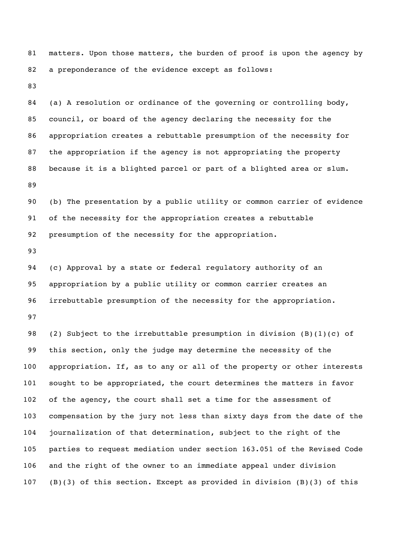matters. Upon those matters, the burden of proof is upon the agency by a preponderance of the evidence except as follows:

 (a) A resolution or ordinance of the governing or controlling body, council, or board of the agency declaring the necessity for the appropriation creates a rebuttable presumption of the necessity for the appropriation if the agency is not appropriating the property because it is a blighted parcel or part of a blighted area or slum. 

 (b) The presentation by a public utility or common carrier of evidence of the necessity for the appropriation creates a rebuttable presumption of the necessity for the appropriation.

 (c) Approval by a state or federal regulatory authority of an appropriation by a public utility or common carrier creates an irrebuttable presumption of the necessity for the appropriation.

 (2) Subject to the irrebuttable presumption in division (B)(1)(c) of this section, only the judge may determine the necessity of the appropriation. If, as to any or all of the property or other interests sought to be appropriated, the court determines the matters in favor of the agency, the court shall set a time for the assessment of compensation by the jury not less than sixty days from the date of the journalization of that determination, subject to the right of the parties to request mediation under section 163.051 of the Revised Code and the right of the owner to an immediate appeal under division (B)(3) of this section. Except as provided in division (B)(3) of this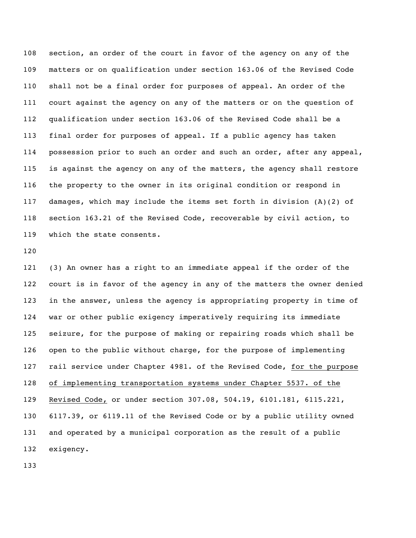section, an order of the court in favor of the agency on any of the matters or on qualification under section 163.06 of the Revised Code shall not be a final order for purposes of appeal. An order of the court against the agency on any of the matters or on the question of qualification under section 163.06 of the Revised Code shall be a final order for purposes of appeal. If a public agency has taken possession prior to such an order and such an order, after any appeal, is against the agency on any of the matters, the agency shall restore the property to the owner in its original condition or respond in damages, which may include the items set forth in division (A)(2) of section 163.21 of the Revised Code, recoverable by civil action, to which the state consents.

 (3) An owner has a right to an immediate appeal if the order of the court is in favor of the agency in any of the matters the owner denied in the answer, unless the agency is appropriating property in time of war or other public exigency imperatively requiring its immediate seizure, for the purpose of making or repairing roads which shall be open to the public without charge, for the purpose of implementing rail service under Chapter 4981. of the Revised Code, for the purpose of implementing transportation systems under Chapter 5537. of the Revised Code, or under section 307.08, 504.19, 6101.181, 6115.221, 6117.39, or 6119.11 of the Revised Code or by a public utility owned and operated by a municipal corporation as the result of a public exigency.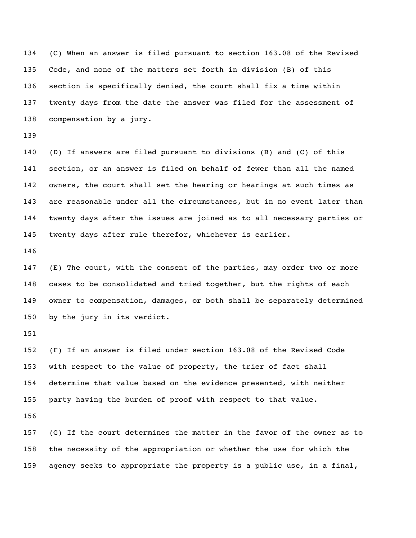(C) When an answer is filed pursuant to section 163.08 of the Revised Code, and none of the matters set forth in division (B) of this section is specifically denied, the court shall fix a time within twenty days from the date the answer was filed for the assessment of compensation by a jury.

 (D) If answers are filed pursuant to divisions (B) and (C) of this section, or an answer is filed on behalf of fewer than all the named owners, the court shall set the hearing or hearings at such times as are reasonable under all the circumstances, but in no event later than twenty days after the issues are joined as to all necessary parties or twenty days after rule therefor, whichever is earlier.

 (E) The court, with the consent of the parties, may order two or more cases to be consolidated and tried together, but the rights of each owner to compensation, damages, or both shall be separately determined by the jury in its verdict.

 (F) If an answer is filed under section 163.08 of the Revised Code with respect to the value of property, the trier of fact shall determine that value based on the evidence presented, with neither party having the burden of proof with respect to that value.

 (G) If the court determines the matter in the favor of the owner as to the necessity of the appropriation or whether the use for which the agency seeks to appropriate the property is a public use, in a final,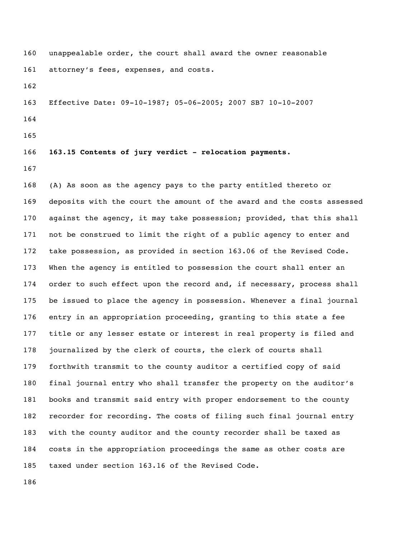unappealable order, the court shall award the owner reasonable attorney's fees, expenses, and costs.

Effective Date: 09-10-1987; 05-06-2005; 2007 SB7 10-10-2007

- 
- 

**163.15 Contents of jury verdict - relocation payments.**

 (A) As soon as the agency pays to the party entitled thereto or deposits with the court the amount of the award and the costs assessed against the agency, it may take possession; provided, that this shall not be construed to limit the right of a public agency to enter and take possession, as provided in section 163.06 of the Revised Code. When the agency is entitled to possession the court shall enter an 174 order to such effect upon the record and, if necessary, process shall be issued to place the agency in possession. Whenever a final journal entry in an appropriation proceeding, granting to this state a fee title or any lesser estate or interest in real property is filed and journalized by the clerk of courts, the clerk of courts shall forthwith transmit to the county auditor a certified copy of said final journal entry who shall transfer the property on the auditor's books and transmit said entry with proper endorsement to the county recorder for recording. The costs of filing such final journal entry with the county auditor and the county recorder shall be taxed as costs in the appropriation proceedings the same as other costs are taxed under section 163.16 of the Revised Code.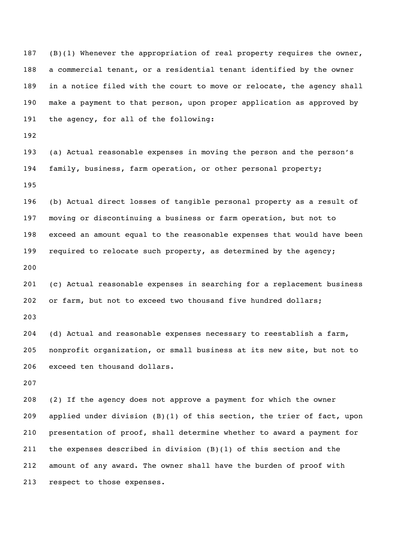187 (B)(1) Whenever the appropriation of real property requires the owner, a commercial tenant, or a residential tenant identified by the owner in a notice filed with the court to move or relocate, the agency shall make a payment to that person, upon proper application as approved by the agency, for all of the following:

 (a) Actual reasonable expenses in moving the person and the person's family, business, farm operation, or other personal property; 

 (b) Actual direct losses of tangible personal property as a result of moving or discontinuing a business or farm operation, but not to exceed an amount equal to the reasonable expenses that would have been required to relocate such property, as determined by the agency; 

 (c) Actual reasonable expenses in searching for a replacement business or farm, but not to exceed two thousand five hundred dollars;

 (d) Actual and reasonable expenses necessary to reestablish a farm, nonprofit organization, or small business at its new site, but not to exceed ten thousand dollars.

 (2) If the agency does not approve a payment for which the owner applied under division (B)(1) of this section, the trier of fact, upon presentation of proof, shall determine whether to award a payment for 211 the expenses described in division  $(B)(1)$  of this section and the amount of any award. The owner shall have the burden of proof with respect to those expenses.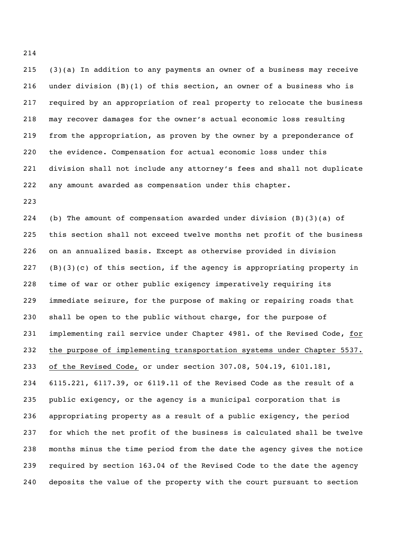(3)(a) In addition to any payments an owner of a business may receive under division (B)(1) of this section, an owner of a business who is required by an appropriation of real property to relocate the business may recover damages for the owner's actual economic loss resulting from the appropriation, as proven by the owner by a preponderance of the evidence. Compensation for actual economic loss under this division shall not include any attorney's fees and shall not duplicate any amount awarded as compensation under this chapter.

 (b) The amount of compensation awarded under division (B)(3)(a) of this section shall not exceed twelve months net profit of the business on an annualized basis. Except as otherwise provided in division (B)(3)(c) of this section, if the agency is appropriating property in time of war or other public exigency imperatively requiring its immediate seizure, for the purpose of making or repairing roads that shall be open to the public without charge, for the purpose of implementing rail service under Chapter 4981. of the Revised Code, for the purpose of implementing transportation systems under Chapter 5537. 233 of the Revised Code, or under section 307.08, 504.19, 6101.181, 6115.221, 6117.39, or 6119.11 of the Revised Code as the result of a public exigency, or the agency is a municipal corporation that is appropriating property as a result of a public exigency, the period for which the net profit of the business is calculated shall be twelve months minus the time period from the date the agency gives the notice required by section 163.04 of the Revised Code to the date the agency deposits the value of the property with the court pursuant to section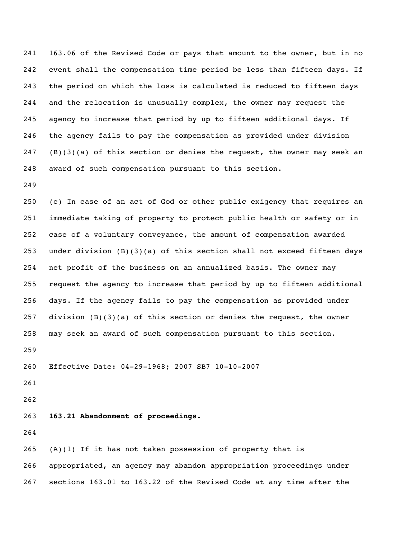163.06 of the Revised Code or pays that amount to the owner, but in no event shall the compensation time period be less than fifteen days. If the period on which the loss is calculated is reduced to fifteen days and the relocation is unusually complex, the owner may request the agency to increase that period by up to fifteen additional days. If the agency fails to pay the compensation as provided under division (B)(3)(a) of this section or denies the request, the owner may seek an award of such compensation pursuant to this section.

 (c) In case of an act of God or other public exigency that requires an immediate taking of property to protect public health or safety or in case of a voluntary conveyance, the amount of compensation awarded under division (B)(3)(a) of this section shall not exceed fifteen days net profit of the business on an annualized basis. The owner may request the agency to increase that period by up to fifteen additional days. If the agency fails to pay the compensation as provided under 257 division  $(B)(3)(a)$  of this section or denies the request, the owner may seek an award of such compensation pursuant to this section. Effective Date: 04-29-1968; 2007 SB7 10-10-2007 

**163.21 Abandonment of proceedings.**

 (A)(1) If it has not taken possession of property that is appropriated, an agency may abandon appropriation proceedings under sections 163.01 to 163.22 of the Revised Code at any time after the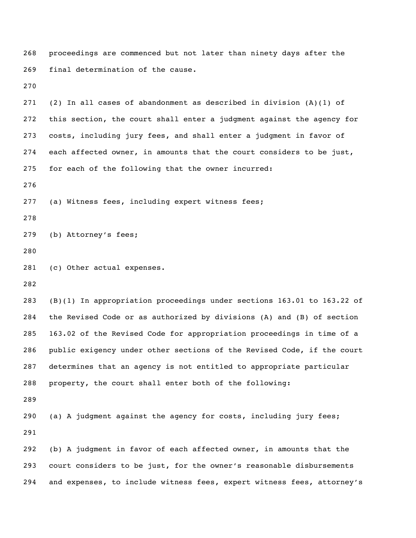proceedings are commenced but not later than ninety days after the final determination of the cause. 271 (2) In all cases of abandonment as described in division  $(A)(1)$  of this section, the court shall enter a judgment against the agency for costs, including jury fees, and shall enter a judgment in favor of each affected owner, in amounts that the court considers to be just, for each of the following that the owner incurred: (a) Witness fees, including expert witness fees; (b) Attorney's fees; (c) Other actual expenses. (B)(1) In appropriation proceedings under sections 163.01 to 163.22 of the Revised Code or as authorized by divisions (A) and (B) of section 163.02 of the Revised Code for appropriation proceedings in time of a public exigency under other sections of the Revised Code, if the court determines that an agency is not entitled to appropriate particular property, the court shall enter both of the following: (a) A judgment against the agency for costs, including jury fees; (b) A judgment in favor of each affected owner, in amounts that the court considers to be just, for the owner's reasonable disbursements and expenses, to include witness fees, expert witness fees, attorney's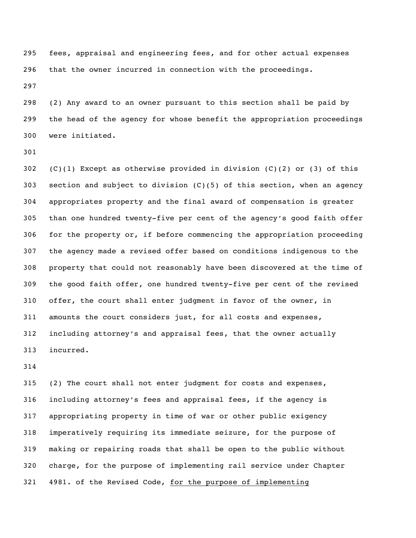fees, appraisal and engineering fees, and for other actual expenses that the owner incurred in connection with the proceedings. 

 (2) Any award to an owner pursuant to this section shall be paid by the head of the agency for whose benefit the appropriation proceedings were initiated.

302 (C)(1) Except as otherwise provided in division (C)(2) or (3) of this 303 section and subject to division  $(C)(5)$  of this section, when an agency appropriates property and the final award of compensation is greater than one hundred twenty-five per cent of the agency's good faith offer for the property or, if before commencing the appropriation proceeding the agency made a revised offer based on conditions indigenous to the property that could not reasonably have been discovered at the time of the good faith offer, one hundred twenty-five per cent of the revised offer, the court shall enter judgment in favor of the owner, in amounts the court considers just, for all costs and expenses, including attorney's and appraisal fees, that the owner actually incurred.

 (2) The court shall not enter judgment for costs and expenses, including attorney's fees and appraisal fees, if the agency is appropriating property in time of war or other public exigency imperatively requiring its immediate seizure, for the purpose of making or repairing roads that shall be open to the public without charge, for the purpose of implementing rail service under Chapter 4981. of the Revised Code, for the purpose of implementing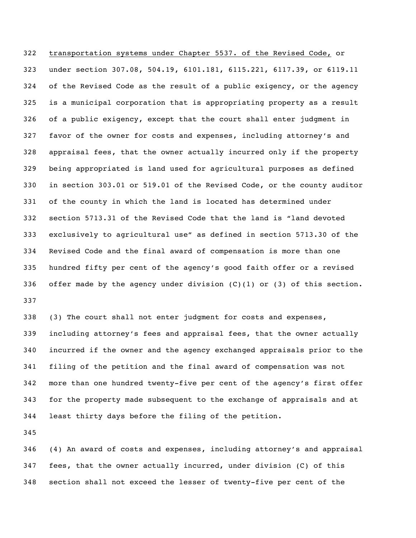transportation systems under Chapter 5537. of the Revised Code, or under section 307.08, 504.19, 6101.181, 6115.221, 6117.39, or 6119.11 of the Revised Code as the result of a public exigency, or the agency is a municipal corporation that is appropriating property as a result of a public exigency, except that the court shall enter judgment in favor of the owner for costs and expenses, including attorney's and appraisal fees, that the owner actually incurred only if the property being appropriated is land used for agricultural purposes as defined in section 303.01 or 519.01 of the Revised Code, or the county auditor of the county in which the land is located has determined under section 5713.31 of the Revised Code that the land is "land devoted exclusively to agricultural use" as defined in section 5713.30 of the Revised Code and the final award of compensation is more than one hundred fifty per cent of the agency's good faith offer or a revised 336 offer made by the agency under division  $(C)$  (1) or (3) of this section. 

 (3) The court shall not enter judgment for costs and expenses, including attorney's fees and appraisal fees, that the owner actually incurred if the owner and the agency exchanged appraisals prior to the filing of the petition and the final award of compensation was not more than one hundred twenty-five per cent of the agency's first offer for the property made subsequent to the exchange of appraisals and at least thirty days before the filing of the petition.

 (4) An award of costs and expenses, including attorney's and appraisal fees, that the owner actually incurred, under division (C) of this section shall not exceed the lesser of twenty-five per cent of the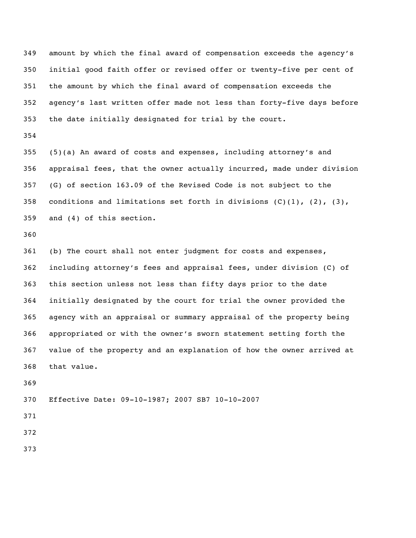amount by which the final award of compensation exceeds the agency's initial good faith offer or revised offer or twenty-five per cent of the amount by which the final award of compensation exceeds the agency's last written offer made not less than forty-five days before the date initially designated for trial by the court.

 (5)(a) An award of costs and expenses, including attorney's and appraisal fees, that the owner actually incurred, made under division (G) of section 163.09 of the Revised Code is not subject to the 358 conditions and limitations set forth in divisions  $(C)$   $(1)$ ,  $(2)$ ,  $(3)$ , and (4) of this section.

 (b) The court shall not enter judgment for costs and expenses, including attorney's fees and appraisal fees, under division (C) of this section unless not less than fifty days prior to the date initially designated by the court for trial the owner provided the agency with an appraisal or summary appraisal of the property being appropriated or with the owner's sworn statement setting forth the value of the property and an explanation of how the owner arrived at that value.

Effective Date: 09-10-1987; 2007 SB7 10-10-2007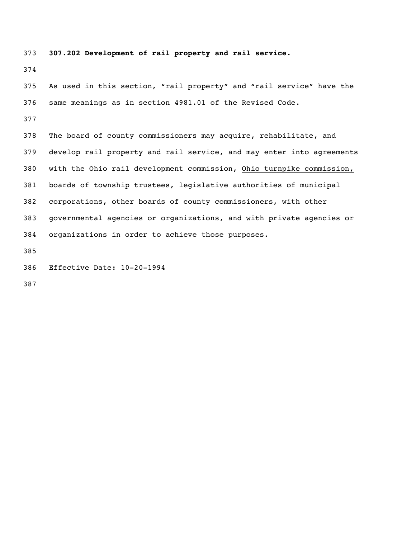**307.202 Development of rail property and rail service.** As used in this section, "rail property" and "rail service" have the same meanings as in section 4981.01 of the Revised Code. The board of county commissioners may acquire, rehabilitate, and develop rail property and rail service, and may enter into agreements with the Ohio rail development commission, Ohio turnpike commission, boards of township trustees, legislative authorities of municipal corporations, other boards of county commissioners, with other governmental agencies or organizations, and with private agencies or organizations in order to achieve those purposes. Effective Date: 10-20-1994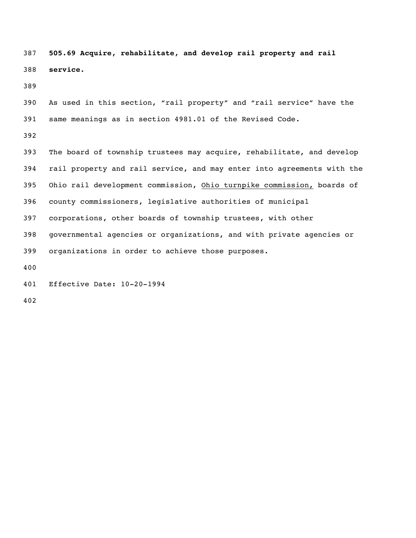**505.69 Acquire, rehabilitate, and develop rail property and rail service.**

 As used in this section, "rail property" and "rail service" have the same meanings as in section 4981.01 of the Revised Code.

 The board of township trustees may acquire, rehabilitate, and develop rail property and rail service, and may enter into agreements with the Ohio rail development commission, Ohio turnpike commission, boards of county commissioners, legislative authorities of municipal corporations, other boards of township trustees, with other governmental agencies or organizations, and with private agencies or organizations in order to achieve those purposes. 

Effective Date: 10-20-1994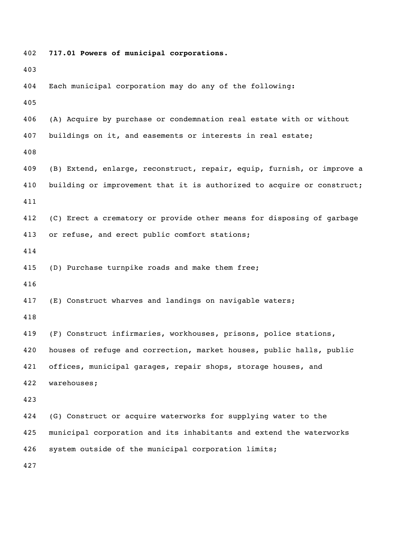```
402 717.01 Powers of municipal corporations.
403
404 Each municipal corporation may do any of the following:
405
406 (A) Acquire by purchase or condemnation real estate with or without
407 buildings on it, and easements or interests in real estate;
408
409 (B) Extend, enlarge, reconstruct, repair, equip, furnish, or improve a 
410 building or improvement that it is authorized to acquire or construct;
411
412 (C) Erect a crematory or provide other means for disposing of garbage
413 or refuse, and erect public comfort stations;
414
415 (D) Purchase turnpike roads and make them free;
416
417 (E) Construct wharves and landings on navigable waters;
418
419 (F) Construct infirmaries, workhouses, prisons, police stations, 
420 houses of refuge and correction, market houses, public halls, public 
421 offices, municipal garages, repair shops, storage houses, and
422 warehouses;
423
424 (G) Construct or acquire waterworks for supplying water to the 
425 municipal corporation and its inhabitants and extend the waterworks
426 system outside of the municipal corporation limits;
427
```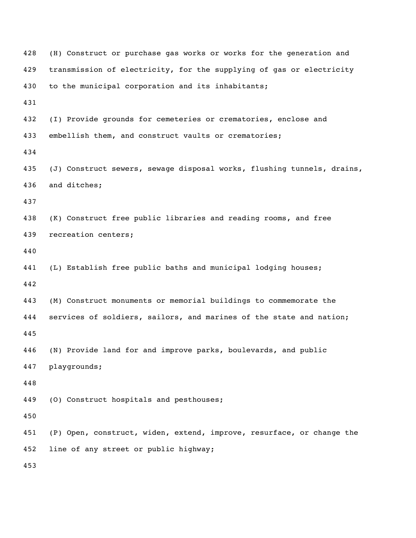| 428 | (H) Construct or purchase gas works or works for the generation and    |
|-----|------------------------------------------------------------------------|
| 429 | transmission of electricity, for the supplying of gas or electricity   |
| 430 | to the municipal corporation and its inhabitants;                      |
| 431 |                                                                        |
| 432 | (I) Provide grounds for cemeteries or crematories, enclose and         |
| 433 | embellish them, and construct vaults or crematories;                   |
| 434 |                                                                        |
| 435 | (J) Construct sewers, sewage disposal works, flushing tunnels, drains, |
| 436 | and ditches;                                                           |
| 437 |                                                                        |
| 438 | (K) Construct free public libraries and reading rooms, and free        |
| 439 | recreation centers;                                                    |
| 440 |                                                                        |
| 441 | (L) Establish free public baths and municipal lodging houses;          |
| 442 |                                                                        |
| 443 | (M) Construct monuments or memorial buildings to commemorate the       |
| 444 | services of soldiers, sailors, and marines of the state and nation;    |
| 445 |                                                                        |
| 446 | (N) Provide land for and improve parks, boulevards, and public         |
| 447 | playgrounds;                                                           |
| 448 |                                                                        |
| 449 | (0) Construct hospitals and pesthouses;                                |
| 450 |                                                                        |
| 451 | (P) Open, construct, widen, extend, improve, resurface, or change the  |
| 452 | line of any street or public highway;                                  |
| 453 |                                                                        |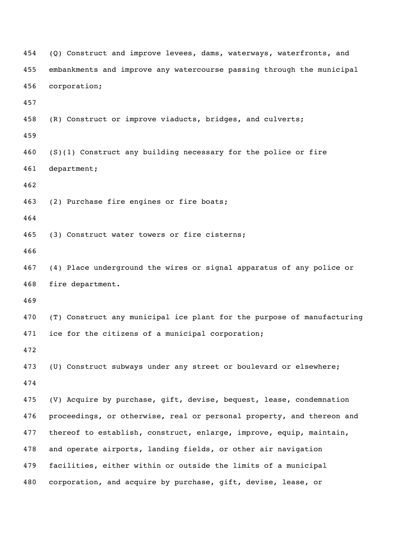```
454 (Q) Construct and improve levees, dams, waterways, waterfronts, and
455 embankments and improve any watercourse passing through the municipal
456 corporation;
457
458 (R) Construct or improve viaducts, bridges, and culverts;
459
460 (S)(1) Construct any building necessary for the police or fire 
461 department;
462
463 (2) Purchase fire engines or fire boats;
464
465 (3) Construct water towers or fire cisterns;
466
467 (4) Place underground the wires or signal apparatus of any police or 
468 fire department.
469
470 (T) Construct any municipal ice plant for the purpose of manufacturing 
471 ice for the citizens of a municipal corporation;
472
473 (U) Construct subways under any street or boulevard or elsewhere;
474
475 (V) Acquire by purchase, gift, devise, bequest, lease, condemnation
476 proceedings, or otherwise, real or personal property, and thereon and
477 thereof to establish, construct, enlarge, improve, equip, maintain,
478 and operate airports, landing fields, or other air navigation
479 facilities, either within or outside the limits of a municipal 
480 corporation, and acquire by purchase, gift, devise, lease, or
```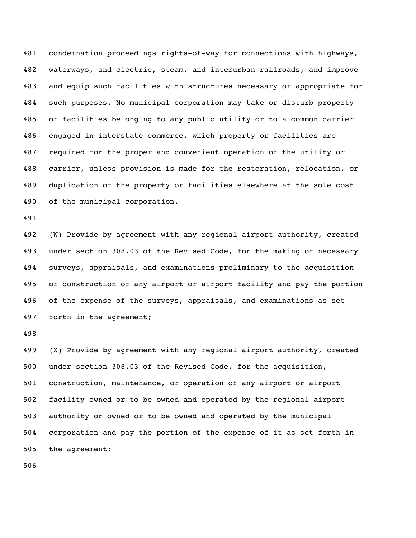condemnation proceedings rights-of-way for connections with highways, waterways, and electric, steam, and interurban railroads, and improve and equip such facilities with structures necessary or appropriate for such purposes. No municipal corporation may take or disturb property or facilities belonging to any public utility or to a common carrier engaged in interstate commerce, which property or facilities are required for the proper and convenient operation of the utility or carrier, unless provision is made for the restoration, relocation, or duplication of the property or facilities elsewhere at the sole cost of the municipal corporation.

 (W) Provide by agreement with any regional airport authority, created under section 308.03 of the Revised Code, for the making of necessary surveys, appraisals, and examinations preliminary to the acquisition or construction of any airport or airport facility and pay the portion of the expense of the surveys, appraisals, and examinations as set forth in the agreement;

 (X) Provide by agreement with any regional airport authority, created under section 308.03 of the Revised Code, for the acquisition, construction, maintenance, or operation of any airport or airport facility owned or to be owned and operated by the regional airport authority or owned or to be owned and operated by the municipal corporation and pay the portion of the expense of it as set forth in the agreement;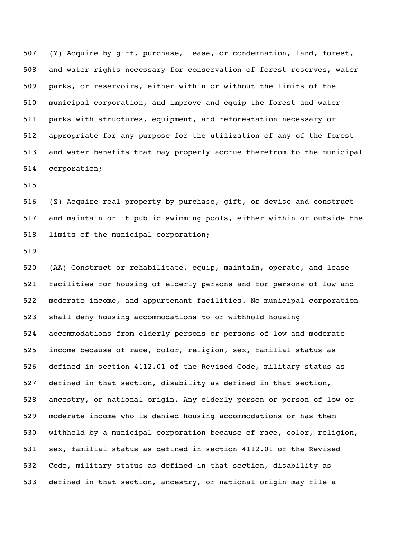(Y) Acquire by gift, purchase, lease, or condemnation, land, forest, and water rights necessary for conservation of forest reserves, water parks, or reservoirs, either within or without the limits of the municipal corporation, and improve and equip the forest and water parks with structures, equipment, and reforestation necessary or appropriate for any purpose for the utilization of any of the forest and water benefits that may properly accrue therefrom to the municipal corporation;

 (Z) Acquire real property by purchase, gift, or devise and construct and maintain on it public swimming pools, either within or outside the limits of the municipal corporation;

 (AA) Construct or rehabilitate, equip, maintain, operate, and lease facilities for housing of elderly persons and for persons of low and moderate income, and appurtenant facilities. No municipal corporation shall deny housing accommodations to or withhold housing accommodations from elderly persons or persons of low and moderate income because of race, color, religion, sex, familial status as defined in section 4112.01 of the Revised Code, military status as defined in that section, disability as defined in that section, ancestry, or national origin. Any elderly person or person of low or moderate income who is denied housing accommodations or has them withheld by a municipal corporation because of race, color, religion, sex, familial status as defined in section 4112.01 of the Revised Code, military status as defined in that section, disability as defined in that section, ancestry, or national origin may file a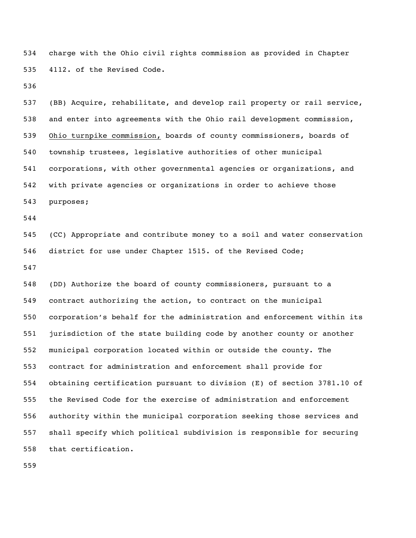charge with the Ohio civil rights commission as provided in Chapter 4112. of the Revised Code.

 (BB) Acquire, rehabilitate, and develop rail property or rail service, and enter into agreements with the Ohio rail development commission, Ohio turnpike commission, boards of county commissioners, boards of township trustees, legislative authorities of other municipal corporations, with other governmental agencies or organizations, and with private agencies or organizations in order to achieve those purposes;

 (CC) Appropriate and contribute money to a soil and water conservation district for use under Chapter 1515. of the Revised Code; 

 (DD) Authorize the board of county commissioners, pursuant to a contract authorizing the action, to contract on the municipal corporation's behalf for the administration and enforcement within its jurisdiction of the state building code by another county or another municipal corporation located within or outside the county. The contract for administration and enforcement shall provide for obtaining certification pursuant to division (E) of section 3781.10 of the Revised Code for the exercise of administration and enforcement authority within the municipal corporation seeking those services and shall specify which political subdivision is responsible for securing that certification.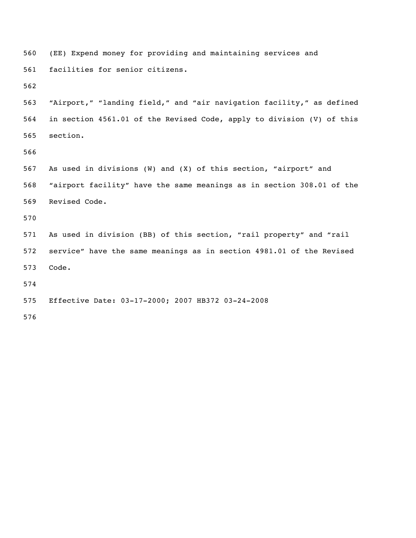```
560 (EE) Expend money for providing and maintaining services and 
561 facilities for senior citizens.
562
563 "Airport," "landing field," and "air navigation facility," as defined
564 in section 4561.01 of the Revised Code, apply to division (V) of this
565 section.
566
567 As used in divisions (W) and (X) of this section, "airport" and
568 "airport facility" have the same meanings as in section 308.01 of the
569 Revised Code.
570
571 As used in division (BB) of this section, "rail property" and "rail
572 service" have the same meanings as in section 4981.01 of the Revised 
573 Code.
574
575 Effective Date: 03-17-2000; 2007 HB372 03-24-2008
576
```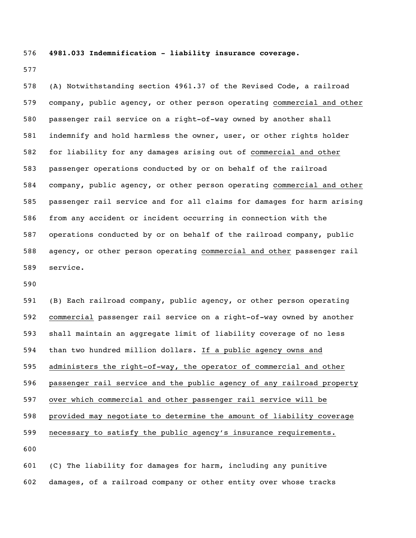**4981.033 Indemnification - liability insurance coverage.**

 (A) Notwithstanding section 4961.37 of the Revised Code, a railroad company, public agency, or other person operating commercial and other passenger rail service on a right-of-way owned by another shall indemnify and hold harmless the owner, user, or other rights holder for liability for any damages arising out of commercial and other passenger operations conducted by or on behalf of the railroad company, public agency, or other person operating commercial and other passenger rail service and for all claims for damages for harm arising from any accident or incident occurring in connection with the operations conducted by or on behalf of the railroad company, public agency, or other person operating commercial and other passenger rail service.

 (B) Each railroad company, public agency, or other person operating commercial passenger rail service on a right-of-way owned by another shall maintain an aggregate limit of liability coverage of no less than two hundred million dollars. If a public agency owns and administers the right-of-way, the operator of commercial and other passenger rail service and the public agency of any railroad property over which commercial and other passenger rail service will be provided may negotiate to determine the amount of liability coverage necessary to satisfy the public agency's insurance requirements. 

 (C) The liability for damages for harm, including any punitive damages, of a railroad company or other entity over whose tracks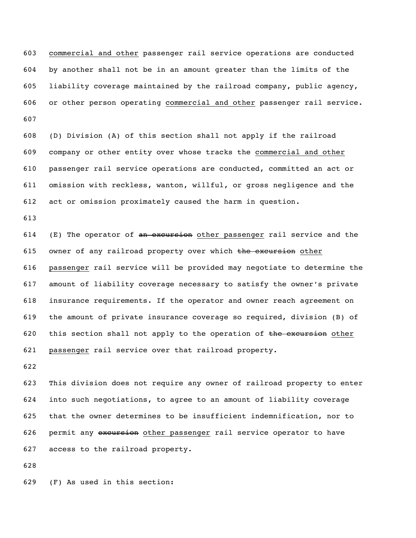commercial and other passenger rail service operations are conducted by another shall not be in an amount greater than the limits of the liability coverage maintained by the railroad company, public agency, or other person operating commercial and other passenger rail service. 

 (D) Division (A) of this section shall not apply if the railroad company or other entity over whose tracks the commercial and other passenger rail service operations are conducted, committed an act or omission with reckless, wanton, willful, or gross negligence and the act or omission proximately caused the harm in question.

614 (E) The operator of  $an$  excursion other passenger rail service and the 615 owner of any railroad property over which  $t$ he excursion other passenger rail service will be provided may negotiate to determine the amount of liability coverage necessary to satisfy the owner's private insurance requirements. If the operator and owner reach agreement on the amount of private insurance coverage so required, division (B) of 620 this section shall not apply to the operation of the excursion other passenger rail service over that railroad property.

 This division does not require any owner of railroad property to enter into such negotiations, to agree to an amount of liability coverage that the owner determines to be insufficient indemnification, nor to 626 permit any excursion other passenger rail service operator to have access to the railroad property.

(F) As used in this section: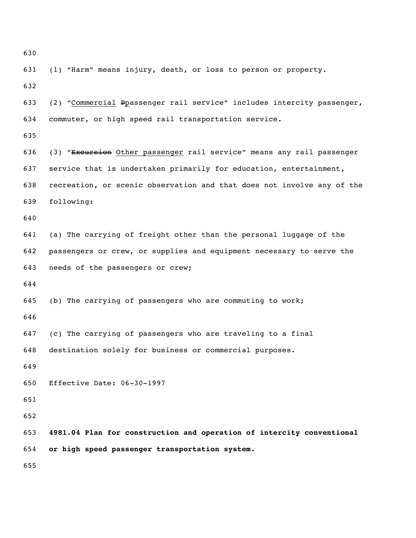```
630
```
 (2) "Commercial Ppassenger rail service" includes intercity passenger, commuter, or high speed rail transportation service. (3) "Excursion Other passenger rail service" means any rail passenger service that is undertaken primarily for education, entertainment, recreation, or scenic observation and that does not involve any of the following: (a) The carrying of freight other than the personal luggage of the passengers or crew, or supplies and equipment necessary to serve the needs of the passengers or crew; (b) The carrying of passengers who are commuting to work; (c) The carrying of passengers who are traveling to a final destination solely for business or commercial purposes. Effective Date: 06-30-1997 **4981.04 Plan for construction and operation of intercity conventional or high speed passenger transportation system.** 

(1) "Harm" means injury, death, or loss to person or property.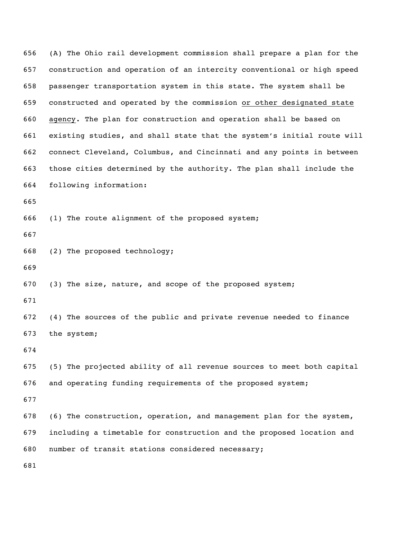(A) The Ohio rail development commission shall prepare a plan for the construction and operation of an intercity conventional or high speed passenger transportation system in this state. The system shall be constructed and operated by the commission or other designated state agency. The plan for construction and operation shall be based on existing studies, and shall state that the system's initial route will connect Cleveland, Columbus, and Cincinnati and any points in between those cities determined by the authority. The plan shall include the following information: (1) The route alignment of the proposed system; (2) The proposed technology; (3) The size, nature, and scope of the proposed system; (4) The sources of the public and private revenue needed to finance the system; (5) The projected ability of all revenue sources to meet both capital and operating funding requirements of the proposed system; (6) The construction, operation, and management plan for the system, including a timetable for construction and the proposed location and number of transit stations considered necessary;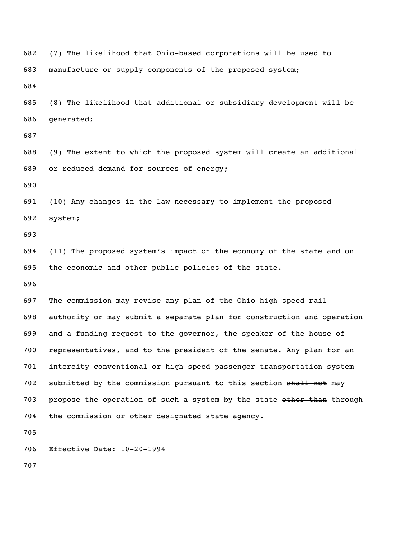(7) The likelihood that Ohio-based corporations will be used to manufacture or supply components of the proposed system; (8) The likelihood that additional or subsidiary development will be generated; (9) The extent to which the proposed system will create an additional or reduced demand for sources of energy; (10) Any changes in the law necessary to implement the proposed system; (11) The proposed system's impact on the economy of the state and on the economic and other public policies of the state. The commission may revise any plan of the Ohio high speed rail authority or may submit a separate plan for construction and operation and a funding request to the governor, the speaker of the house of representatives, and to the president of the senate. Any plan for an intercity conventional or high speed passenger transportation system 702 submitted by the commission pursuant to this section shall not may 703 propose the operation of such a system by the state other than through the commission or other designated state agency. Effective Date: 10-20-1994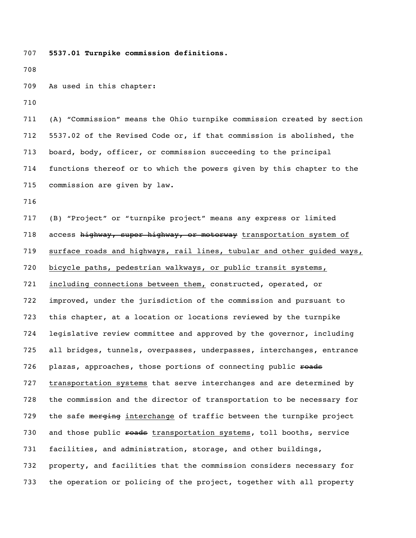**5537.01 Turnpike commission definitions.**

As used in this chapter:

 (A) "Commission" means the Ohio turnpike commission created by section 5537.02 of the Revised Code or, if that commission is abolished, the board, body, officer, or commission succeeding to the principal functions thereof or to which the powers given by this chapter to the commission are given by law.

 (B) "Project" or "turnpike project" means any express or limited 718 access highway, super highway, or motorway transportation system of surface roads and highways, rail lines, tubular and other guided ways, bicycle paths, pedestrian walkways, or public transit systems, including connections between them, constructed, operated, or improved, under the jurisdiction of the commission and pursuant to this chapter, at a location or locations reviewed by the turnpike legislative review committee and approved by the governor, including all bridges, tunnels, overpasses, underpasses, interchanges, entrance 726 plazas, approaches, those portions of connecting public roads transportation systems that serve interchanges and are determined by the commission and the director of transportation to be necessary for 729 the safe merging interchange of traffic between the turnpike project 730 and those public roads transportation systems, toll booths, service facilities, and administration, storage, and other buildings, property, and facilities that the commission considers necessary for the operation or policing of the project, together with all property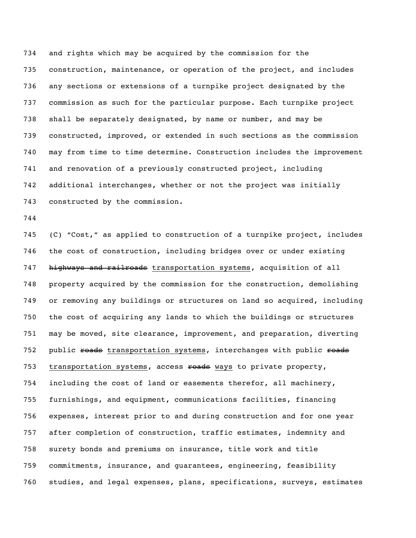and rights which may be acquired by the commission for the construction, maintenance, or operation of the project, and includes any sections or extensions of a turnpike project designated by the commission as such for the particular purpose. Each turnpike project shall be separately designated, by name or number, and may be constructed, improved, or extended in such sections as the commission may from time to time determine. Construction includes the improvement and renovation of a previously constructed project, including additional interchanges, whether or not the project was initially constructed by the commission.

 (C) "Cost," as applied to construction of a turnpike project, includes the cost of construction, including bridges over or under existing 747 highways and railroads transportation systems, acquisition of all property acquired by the commission for the construction, demolishing or removing any buildings or structures on land so acquired, including the cost of acquiring any lands to which the buildings or structures may be moved, site clearance, improvement, and preparation, diverting 752 public roads transportation systems, interchanges with public roads 753 transportation systems, access roads ways to private property, including the cost of land or easements therefor, all machinery, furnishings, and equipment, communications facilities, financing expenses, interest prior to and during construction and for one year after completion of construction, traffic estimates, indemnity and surety bonds and premiums on insurance, title work and title commitments, insurance, and guarantees, engineering, feasibility studies, and legal expenses, plans, specifications, surveys, estimates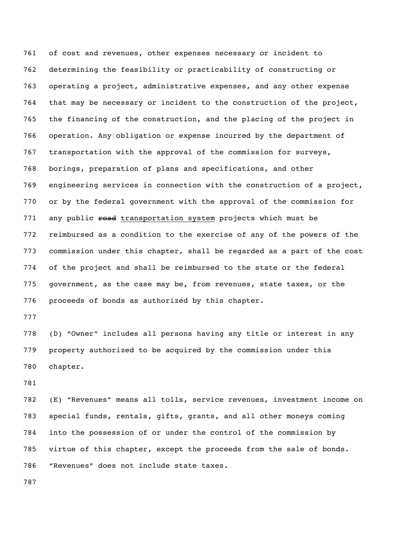of cost and revenues, other expenses necessary or incident to determining the feasibility or practicability of constructing or operating a project, administrative expenses, and any other expense that may be necessary or incident to the construction of the project, the financing of the construction, and the placing of the project in operation. Any obligation or expense incurred by the department of transportation with the approval of the commission for surveys, borings, preparation of plans and specifications, and other engineering services in connection with the construction of a project, or by the federal government with the approval of the commission for 771 any public road transportation system projects which must be reimbursed as a condition to the exercise of any of the powers of the commission under this chapter, shall be regarded as a part of the cost of the project and shall be reimbursed to the state or the federal government, as the case may be, from revenues, state taxes, or the proceeds of bonds as authorized by this chapter.

 (D) "Owner" includes all persons having any title or interest in any property authorized to be acquired by the commission under this chapter.

 (E) "Revenues" means all tolls, service revenues, investment income on special funds, rentals, gifts, grants, and all other moneys coming into the possession of or under the control of the commission by virtue of this chapter, except the proceeds from the sale of bonds. "Revenues" does not include state taxes.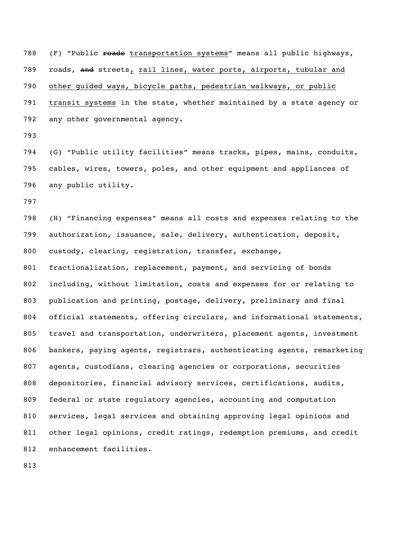788 (F) "Public roads transportation systems" means all public highways, 789 roads, and streets, rail lines, water ports, airports, tubular and other guided ways, bicycle paths, pedestrian walkways, or public transit systems in the state, whether maintained by a state agency or any other governmental agency.

 (G) "Public utility facilities" means tracks, pipes, mains, conduits, cables, wires, towers, poles, and other equipment and appliances of any public utility.

 (H) "Financing expenses" means all costs and expenses relating to the authorization, issuance, sale, delivery, authentication, deposit, custody, clearing, registration, transfer, exchange, fractionalization, replacement, payment, and servicing of bonds including, without limitation, costs and expenses for or relating to publication and printing, postage, delivery, preliminary and final 804 official statements, offering circulars, and informational statements, travel and transportation, underwriters, placement agents, investment bankers, paying agents, registrars, authenticating agents, remarketing agents, custodians, clearing agencies or corporations, securities depositories, financial advisory services, certifications, audits, federal or state regulatory agencies, accounting and computation services, legal services and obtaining approving legal opinions and other legal opinions, credit ratings, redemption premiums, and credit enhancement facilities.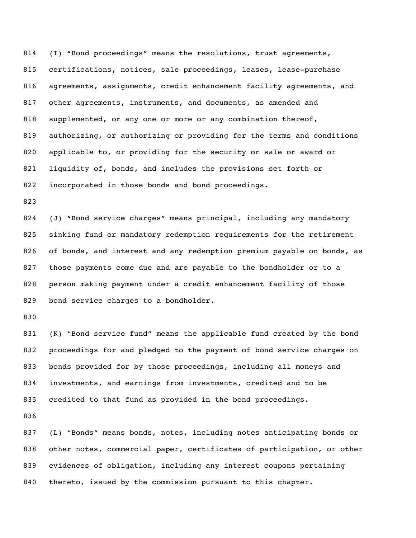(I) "Bond proceedings" means the resolutions, trust agreements, certifications, notices, sale proceedings, leases, lease-purchase agreements, assignments, credit enhancement facility agreements, and other agreements, instruments, and documents, as amended and supplemented, or any one or more or any combination thereof, authorizing, or authorizing or providing for the terms and conditions applicable to, or providing for the security or sale or award or liquidity of, bonds, and includes the provisions set forth or incorporated in those bonds and bond proceedings.

 (J) "Bond service charges" means principal, including any mandatory sinking fund or mandatory redemption requirements for the retirement of bonds, and interest and any redemption premium payable on bonds, as those payments come due and are payable to the bondholder or to a person making payment under a credit enhancement facility of those 829 bond service charges to a bondholder.

 (K) "Bond service fund" means the applicable fund created by the bond proceedings for and pledged to the payment of bond service charges on bonds provided for by those proceedings, including all moneys and investments, and earnings from investments, credited and to be credited to that fund as provided in the bond proceedings.

 (L) "Bonds" means bonds, notes, including notes anticipating bonds or other notes, commercial paper, certificates of participation, or other evidences of obligation, including any interest coupons pertaining thereto, issued by the commission pursuant to this chapter.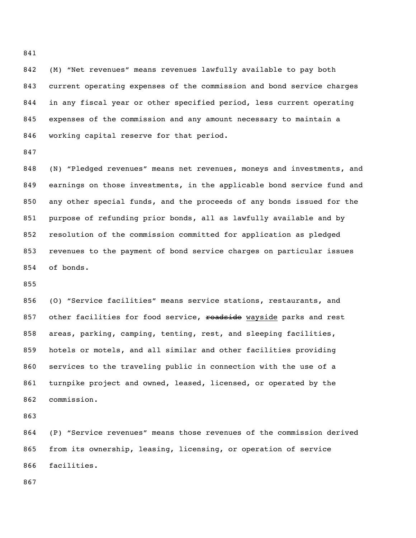(M) "Net revenues" means revenues lawfully available to pay both current operating expenses of the commission and bond service charges in any fiscal year or other specified period, less current operating expenses of the commission and any amount necessary to maintain a working capital reserve for that period.

 (N) "Pledged revenues" means net revenues, moneys and investments, and earnings on those investments, in the applicable bond service fund and any other special funds, and the proceeds of any bonds issued for the purpose of refunding prior bonds, all as lawfully available and by resolution of the commission committed for application as pledged revenues to the payment of bond service charges on particular issues of bonds.

 (O) "Service facilities" means service stations, restaurants, and 857 other facilities for food service, roadside wayside parks and rest areas, parking, camping, tenting, rest, and sleeping facilities, hotels or motels, and all similar and other facilities providing services to the traveling public in connection with the use of a turnpike project and owned, leased, licensed, or operated by the commission.

 (P) "Service revenues" means those revenues of the commission derived from its ownership, leasing, licensing, or operation of service facilities.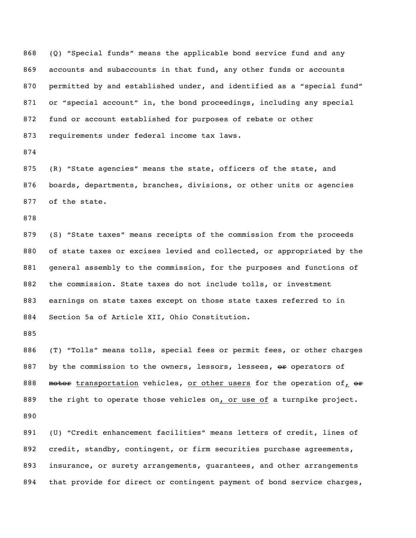(Q) "Special funds" means the applicable bond service fund and any accounts and subaccounts in that fund, any other funds or accounts 870 permitted by and established under, and identified as a "special fund" or "special account" in, the bond proceedings, including any special fund or account established for purposes of rebate or other requirements under federal income tax laws.

 (R) "State agencies" means the state, officers of the state, and boards, departments, branches, divisions, or other units or agencies of the state.

 (S) "State taxes" means receipts of the commission from the proceeds of state taxes or excises levied and collected, or appropriated by the general assembly to the commission, for the purposes and functions of the commission. State taxes do not include tolls, or investment earnings on state taxes except on those state taxes referred to in Section 5a of Article XII, Ohio Constitution.

 (T) "Tolls" means tolls, special fees or permit fees, or other charges 887 by the commission to the owners, lessors, lessees, or operators of 888 motor transportation vehicles, or other users for the operation of, or 889 the right to operate those vehicles on, or use of a turnpike project. 

 (U) "Credit enhancement facilities" means letters of credit, lines of credit, standby, contingent, or firm securities purchase agreements, insurance, or surety arrangements, guarantees, and other arrangements that provide for direct or contingent payment of bond service charges,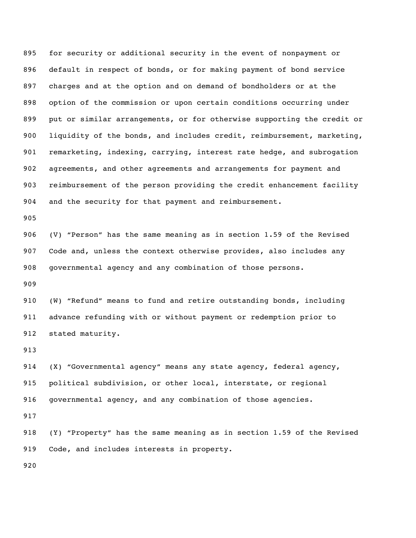for security or additional security in the event of nonpayment or default in respect of bonds, or for making payment of bond service charges and at the option and on demand of bondholders or at the option of the commission or upon certain conditions occurring under put or similar arrangements, or for otherwise supporting the credit or liquidity of the bonds, and includes credit, reimbursement, marketing, remarketing, indexing, carrying, interest rate hedge, and subrogation agreements, and other agreements and arrangements for payment and reimbursement of the person providing the credit enhancement facility and the security for that payment and reimbursement.

 (V) "Person" has the same meaning as in section 1.59 of the Revised Code and, unless the context otherwise provides, also includes any governmental agency and any combination of those persons.

 (W) "Refund" means to fund and retire outstanding bonds, including advance refunding with or without payment or redemption prior to stated maturity.

 (X) "Governmental agency" means any state agency, federal agency, political subdivision, or other local, interstate, or regional governmental agency, and any combination of those agencies.

 (Y) "Property" has the same meaning as in section 1.59 of the Revised 919 Code, and includes interests in property.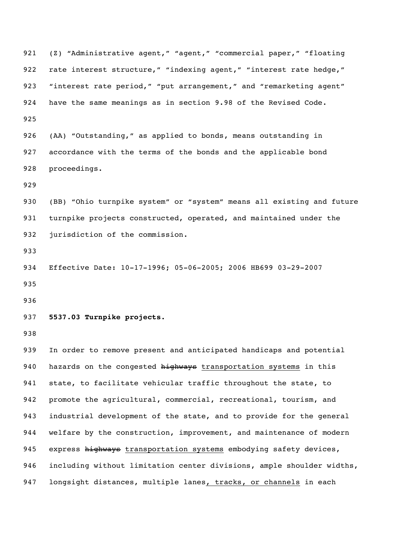(Z) "Administrative agent," "agent," "commercial paper," "floating 922 rate interest structure," "indexing agent," "interest rate hedge," 923 "interest rate period," "put arrangement," and "remarketing agent" have the same meanings as in section 9.98 of the Revised Code. (AA) "Outstanding," as applied to bonds, means outstanding in accordance with the terms of the bonds and the applicable bond proceedings. (BB) "Ohio turnpike system" or "system" means all existing and future turnpike projects constructed, operated, and maintained under the jurisdiction of the commission. Effective Date: 10-17-1996; 05-06-2005; 2006 HB699 03-29-2007 **5537.03 Turnpike projects.** In order to remove present and anticipated handicaps and potential 940 hazards on the congested highways transportation systems in this state, to facilitate vehicular traffic throughout the state, to promote the agricultural, commercial, recreational, tourism, and industrial development of the state, and to provide for the general welfare by the construction, improvement, and maintenance of modern 945 express highways transportation systems embodying safety devices, including without limitation center divisions, ample shoulder widths, 947 longsight distances, multiple lanes, tracks, or channels in each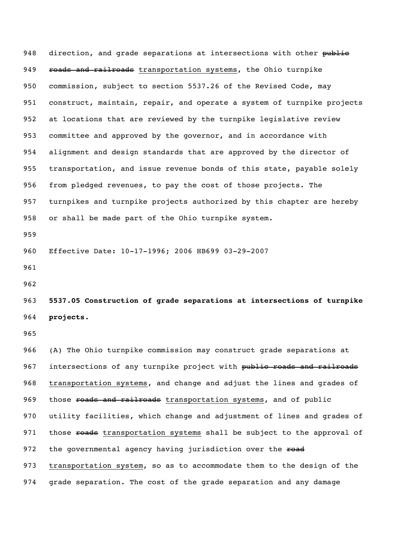948 direction, and grade separations at intersections with other public 949 roads and railroads transportation systems, the Ohio turnpike commission, subject to section 5537.26 of the Revised Code, may construct, maintain, repair, and operate a system of turnpike projects at locations that are reviewed by the turnpike legislative review committee and approved by the governor, and in accordance with alignment and design standards that are approved by the director of transportation, and issue revenue bonds of this state, payable solely from pledged revenues, to pay the cost of those projects. The turnpikes and turnpike projects authorized by this chapter are hereby or shall be made part of the Ohio turnpike system. 

Effective Date: 10-17-1996; 2006 HB699 03-29-2007

 **5537.05 Construction of grade separations at intersections of turnpike projects.**

 (A) The Ohio turnpike commission may construct grade separations at 967 intersections of any turnpike project with public roads and railroads transportation systems, and change and adjust the lines and grades of 969 those roads and railroads transportation systems, and of public utility facilities, which change and adjustment of lines and grades of 971 those roads transportation systems shall be subject to the approval of 972 the governmental agency having jurisdiction over the road transportation system, so as to accommodate them to the design of the grade separation. The cost of the grade separation and any damage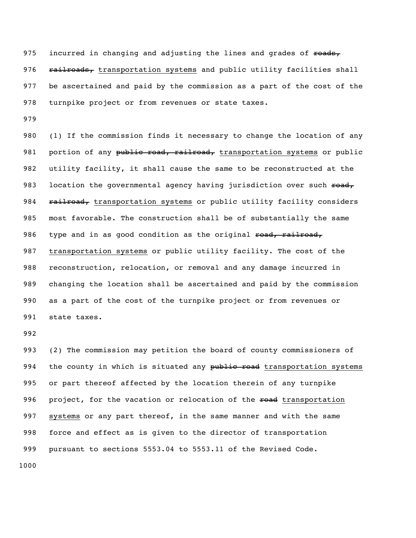975 incurred in changing and adjusting the lines and grades of roads, 976 railroads, transportation systems and public utility facilities shall be ascertained and paid by the commission as a part of the cost of the turnpike project or from revenues or state taxes.

 (1) If the commission finds it necessary to change the location of any 981 portion of any public road, railroad, transportation systems or public utility facility, it shall cause the same to be reconstructed at the 983 location the governmental agency having jurisdiction over such  $\epsilon$ oad, 984 railroad, transportation systems or public utility facility considers most favorable. The construction shall be of substantially the same 986 type and in as good condition as the original road, railroad, transportation systems or public utility facility. The cost of the reconstruction, relocation, or removal and any damage incurred in changing the location shall be ascertained and paid by the commission as a part of the cost of the turnpike project or from revenues or state taxes.

 (2) The commission may petition the board of county commissioners of 994 the county in which is situated any public road transportation systems or part thereof affected by the location therein of any turnpike 996 project, for the vacation or relocation of the road transportation 997 systems or any part thereof, in the same manner and with the same force and effect as is given to the director of transportation pursuant to sections 5553.04 to 5553.11 of the Revised Code.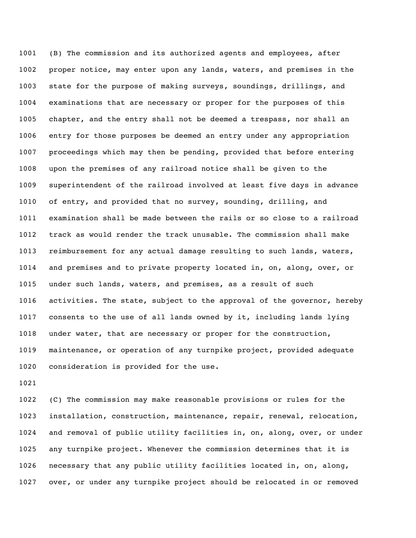(B) The commission and its authorized agents and employees, after proper notice, may enter upon any lands, waters, and premises in the state for the purpose of making surveys, soundings, drillings, and examinations that are necessary or proper for the purposes of this chapter, and the entry shall not be deemed a trespass, nor shall an entry for those purposes be deemed an entry under any appropriation proceedings which may then be pending, provided that before entering upon the premises of any railroad notice shall be given to the superintendent of the railroad involved at least five days in advance of entry, and provided that no survey, sounding, drilling, and examination shall be made between the rails or so close to a railroad track as would render the track unusable. The commission shall make reimbursement for any actual damage resulting to such lands, waters, and premises and to private property located in, on, along, over, or under such lands, waters, and premises, as a result of such activities. The state, subject to the approval of the governor, hereby consents to the use of all lands owned by it, including lands lying under water, that are necessary or proper for the construction, maintenance, or operation of any turnpike project, provided adequate consideration is provided for the use.

 (C) The commission may make reasonable provisions or rules for the installation, construction, maintenance, repair, renewal, relocation, and removal of public utility facilities in, on, along, over, or under any turnpike project. Whenever the commission determines that it is necessary that any public utility facilities located in, on, along, over, or under any turnpike project should be relocated in or removed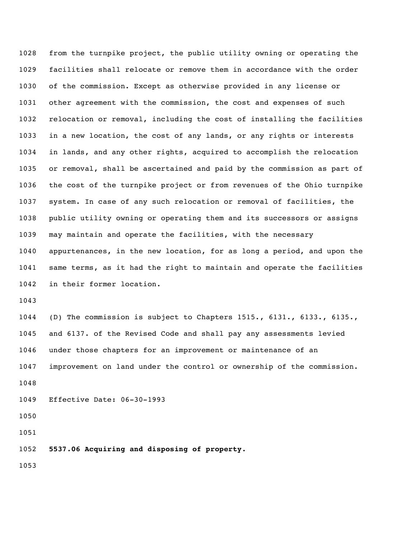from the turnpike project, the public utility owning or operating the facilities shall relocate or remove them in accordance with the order of the commission. Except as otherwise provided in any license or other agreement with the commission, the cost and expenses of such relocation or removal, including the cost of installing the facilities in a new location, the cost of any lands, or any rights or interests in lands, and any other rights, acquired to accomplish the relocation or removal, shall be ascertained and paid by the commission as part of the cost of the turnpike project or from revenues of the Ohio turnpike system. In case of any such relocation or removal of facilities, the public utility owning or operating them and its successors or assigns may maintain and operate the facilities, with the necessary appurtenances, in the new location, for as long a period, and upon the same terms, as it had the right to maintain and operate the facilities in their former location. 

 (D) The commission is subject to Chapters 1515., 6131., 6133., 6135., and 6137. of the Revised Code and shall pay any assessments levied under those chapters for an improvement or maintenance of an improvement on land under the control or ownership of the commission. Effective Date: 06-30-1993

**5537.06 Acquiring and disposing of property.**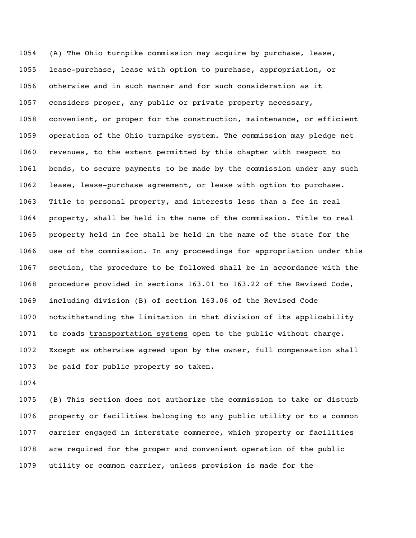(A) The Ohio turnpike commission may acquire by purchase, lease, lease-purchase, lease with option to purchase, appropriation, or otherwise and in such manner and for such consideration as it considers proper, any public or private property necessary, convenient, or proper for the construction, maintenance, or efficient operation of the Ohio turnpike system. The commission may pledge net revenues, to the extent permitted by this chapter with respect to bonds, to secure payments to be made by the commission under any such lease, lease-purchase agreement, or lease with option to purchase. Title to personal property, and interests less than a fee in real property, shall be held in the name of the commission. Title to real property held in fee shall be held in the name of the state for the use of the commission. In any proceedings for appropriation under this section, the procedure to be followed shall be in accordance with the procedure provided in sections 163.01 to 163.22 of the Revised Code, including division (B) of section 163.06 of the Revised Code notwithstanding the limitation in that division of its applicability 1071 to reads transportation systems open to the public without charge. Except as otherwise agreed upon by the owner, full compensation shall be paid for public property so taken.

 (B) This section does not authorize the commission to take or disturb property or facilities belonging to any public utility or to a common carrier engaged in interstate commerce, which property or facilities are required for the proper and convenient operation of the public utility or common carrier, unless provision is made for the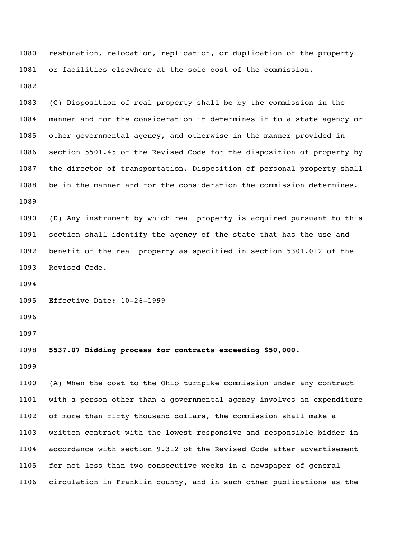restoration, relocation, replication, or duplication of the property or facilities elsewhere at the sole cost of the commission.

 (C) Disposition of real property shall be by the commission in the manner and for the consideration it determines if to a state agency or other governmental agency, and otherwise in the manner provided in section 5501.45 of the Revised Code for the disposition of property by the director of transportation. Disposition of personal property shall be in the manner and for the consideration the commission determines. 

 (D) Any instrument by which real property is acquired pursuant to this section shall identify the agency of the state that has the use and benefit of the real property as specified in section 5301.012 of the Revised Code.

Effective Date: 10-26-1999

**5537.07 Bidding process for contracts exceeding \$50,000.**

 (A) When the cost to the Ohio turnpike commission under any contract with a person other than a governmental agency involves an expenditure of more than fifty thousand dollars, the commission shall make a written contract with the lowest responsive and responsible bidder in accordance with section 9.312 of the Revised Code after advertisement for not less than two consecutive weeks in a newspaper of general circulation in Franklin county, and in such other publications as the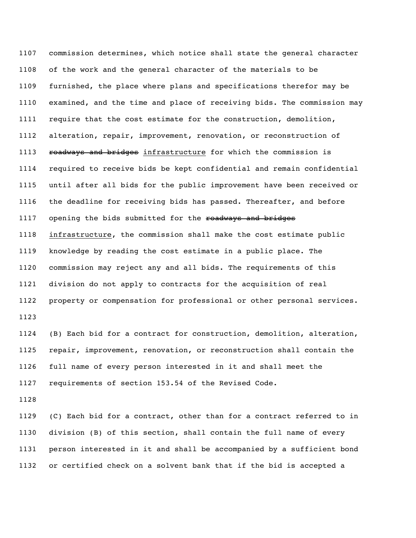commission determines, which notice shall state the general character of the work and the general character of the materials to be furnished, the place where plans and specifications therefor may be examined, and the time and place of receiving bids. The commission may require that the cost estimate for the construction, demolition, alteration, repair, improvement, renovation, or reconstruction of 1113 roadways and bridges infrastructure for which the commission is required to receive bids be kept confidential and remain confidential until after all bids for the public improvement have been received or the deadline for receiving bids has passed. Thereafter, and before 1117 opening the bids submitted for the roadways and bridges infrastructure, the commission shall make the cost estimate public knowledge by reading the cost estimate in a public place. The commission may reject any and all bids. The requirements of this division do not apply to contracts for the acquisition of real property or compensation for professional or other personal services. 

 (B) Each bid for a contract for construction, demolition, alteration, repair, improvement, renovation, or reconstruction shall contain the full name of every person interested in it and shall meet the requirements of section 153.54 of the Revised Code.

 (C) Each bid for a contract, other than for a contract referred to in division (B) of this section, shall contain the full name of every person interested in it and shall be accompanied by a sufficient bond or certified check on a solvent bank that if the bid is accepted a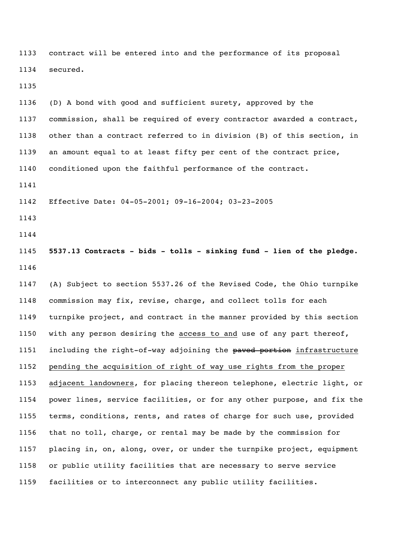contract will be entered into and the performance of its proposal secured.

 (D) A bond with good and sufficient surety, approved by the commission, shall be required of every contractor awarded a contract, other than a contract referred to in division (B) of this section, in an amount equal to at least fifty per cent of the contract price, conditioned upon the faithful performance of the contract.

Effective Date: 04-05-2001; 09-16-2004; 03-23-2005

- 
- 

 **5537.13 Contracts - bids - tolls - sinking fund - lien of the pledge.** 

 (A) Subject to section 5537.26 of the Revised Code, the Ohio turnpike commission may fix, revise, charge, and collect tolls for each turnpike project, and contract in the manner provided by this section with any person desiring the access to and use of any part thereof, 1151 including the right-of-way adjoining the paved portion infrastructure pending the acquisition of right of way use rights from the proper adjacent landowners, for placing thereon telephone, electric light, or power lines, service facilities, or for any other purpose, and fix the terms, conditions, rents, and rates of charge for such use, provided that no toll, charge, or rental may be made by the commission for placing in, on, along, over, or under the turnpike project, equipment or public utility facilities that are necessary to serve service facilities or to interconnect any public utility facilities.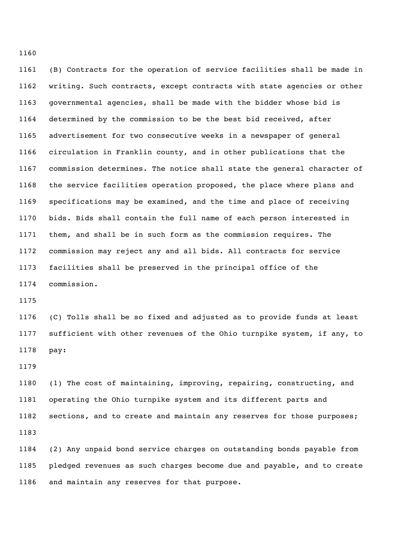(B) Contracts for the operation of service facilities shall be made in writing. Such contracts, except contracts with state agencies or other governmental agencies, shall be made with the bidder whose bid is determined by the commission to be the best bid received, after advertisement for two consecutive weeks in a newspaper of general circulation in Franklin county, and in other publications that the commission determines. The notice shall state the general character of the service facilities operation proposed, the place where plans and specifications may be examined, and the time and place of receiving bids. Bids shall contain the full name of each person interested in them, and shall be in such form as the commission requires. The commission may reject any and all bids. All contracts for service facilities shall be preserved in the principal office of the commission.

 (C) Tolls shall be so fixed and adjusted as to provide funds at least sufficient with other revenues of the Ohio turnpike system, if any, to pay:

 (1) The cost of maintaining, improving, repairing, constructing, and operating the Ohio turnpike system and its different parts and sections, and to create and maintain any reserves for those purposes; 

 (2) Any unpaid bond service charges on outstanding bonds payable from pledged revenues as such charges become due and payable, and to create and maintain any reserves for that purpose.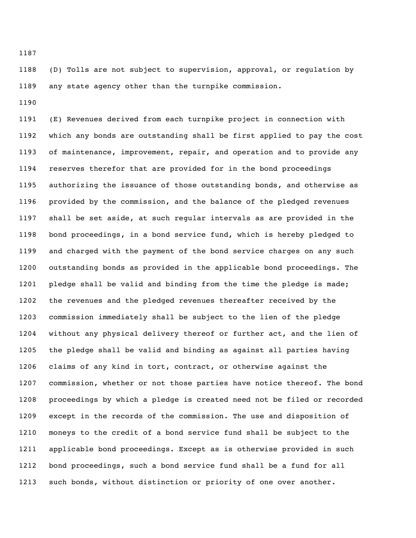(D) Tolls are not subject to supervision, approval, or regulation by any state agency other than the turnpike commission.

 (E) Revenues derived from each turnpike project in connection with which any bonds are outstanding shall be first applied to pay the cost of maintenance, improvement, repair, and operation and to provide any reserves therefor that are provided for in the bond proceedings authorizing the issuance of those outstanding bonds, and otherwise as provided by the commission, and the balance of the pledged revenues shall be set aside, at such regular intervals as are provided in the bond proceedings, in a bond service fund, which is hereby pledged to and charged with the payment of the bond service charges on any such outstanding bonds as provided in the applicable bond proceedings. The pledge shall be valid and binding from the time the pledge is made; the revenues and the pledged revenues thereafter received by the commission immediately shall be subject to the lien of the pledge without any physical delivery thereof or further act, and the lien of the pledge shall be valid and binding as against all parties having claims of any kind in tort, contract, or otherwise against the commission, whether or not those parties have notice thereof. The bond proceedings by which a pledge is created need not be filed or recorded except in the records of the commission. The use and disposition of moneys to the credit of a bond service fund shall be subject to the applicable bond proceedings. Except as is otherwise provided in such bond proceedings, such a bond service fund shall be a fund for all such bonds, without distinction or priority of one over another.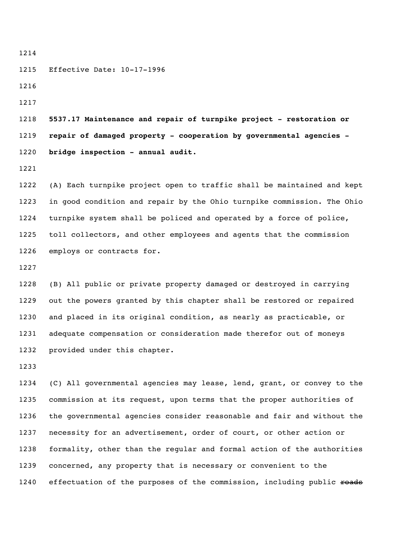Effective Date: 10-17-1996

 **5537.17 Maintenance and repair of turnpike project - restoration or repair of damaged property - cooperation by governmental agencies - bridge inspection - annual audit.**

 (A) Each turnpike project open to traffic shall be maintained and kept in good condition and repair by the Ohio turnpike commission. The Ohio turnpike system shall be policed and operated by a force of police, toll collectors, and other employees and agents that the commission employs or contracts for.

 (B) All public or private property damaged or destroyed in carrying out the powers granted by this chapter shall be restored or repaired and placed in its original condition, as nearly as practicable, or adequate compensation or consideration made therefor out of moneys provided under this chapter.

 (C) All governmental agencies may lease, lend, grant, or convey to the commission at its request, upon terms that the proper authorities of the governmental agencies consider reasonable and fair and without the necessity for an advertisement, order of court, or other action or formality, other than the regular and formal action of the authorities concerned, any property that is necessary or convenient to the 1240 effectuation of the purposes of the commission, including public roads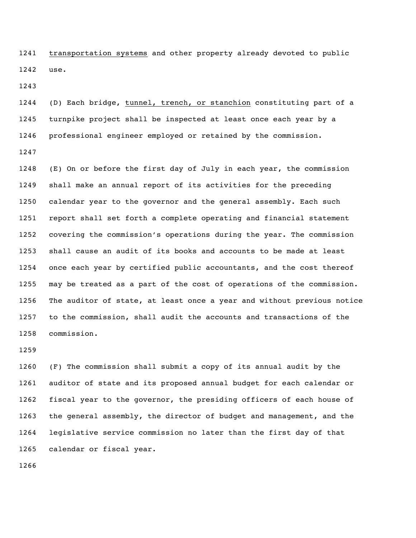transportation systems and other property already devoted to public use.

 (D) Each bridge, tunnel, trench, or stanchion constituting part of a turnpike project shall be inspected at least once each year by a professional engineer employed or retained by the commission. 

 (E) On or before the first day of July in each year, the commission shall make an annual report of its activities for the preceding calendar year to the governor and the general assembly. Each such report shall set forth a complete operating and financial statement covering the commission's operations during the year. The commission shall cause an audit of its books and accounts to be made at least once each year by certified public accountants, and the cost thereof may be treated as a part of the cost of operations of the commission. The auditor of state, at least once a year and without previous notice to the commission, shall audit the accounts and transactions of the commission.

 (F) The commission shall submit a copy of its annual audit by the auditor of state and its proposed annual budget for each calendar or fiscal year to the governor, the presiding officers of each house of the general assembly, the director of budget and management, and the legislative service commission no later than the first day of that calendar or fiscal year.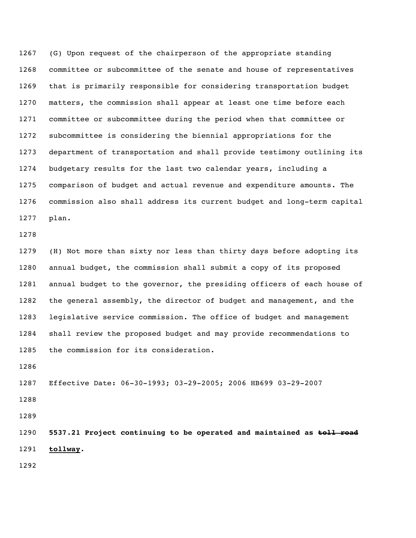(G) Upon request of the chairperson of the appropriate standing committee or subcommittee of the senate and house of representatives that is primarily responsible for considering transportation budget matters, the commission shall appear at least one time before each committee or subcommittee during the period when that committee or subcommittee is considering the biennial appropriations for the department of transportation and shall provide testimony outlining its budgetary results for the last two calendar years, including a comparison of budget and actual revenue and expenditure amounts. The commission also shall address its current budget and long-term capital plan.

 (H) Not more than sixty nor less than thirty days before adopting its annual budget, the commission shall submit a copy of its proposed annual budget to the governor, the presiding officers of each house of the general assembly, the director of budget and management, and the legislative service commission. The office of budget and management shall review the proposed budget and may provide recommendations to the commission for its consideration.

Effective Date: 06-30-1993; 03-29-2005; 2006 HB699 03-29-2007

 **5537.21 Project continuing to be operated and maintained as toll road tollway.**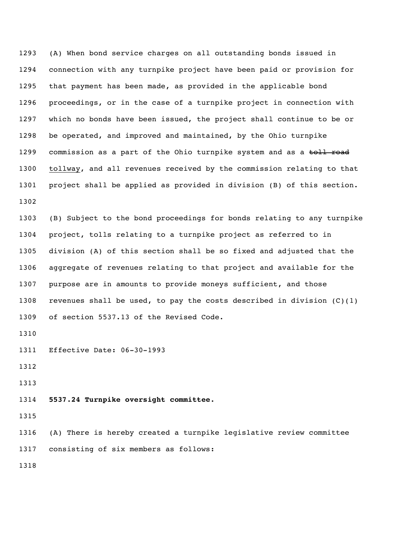(A) When bond service charges on all outstanding bonds issued in connection with any turnpike project have been paid or provision for that payment has been made, as provided in the applicable bond proceedings, or in the case of a turnpike project in connection with which no bonds have been issued, the project shall continue to be or be operated, and improved and maintained, by the Ohio turnpike 1299 commission as a part of the Ohio turnpike system and as a toll road tollway, and all revenues received by the commission relating to that project shall be applied as provided in division (B) of this section. 

 (B) Subject to the bond proceedings for bonds relating to any turnpike project, tolls relating to a turnpike project as referred to in division (A) of this section shall be so fixed and adjusted that the aggregate of revenues relating to that project and available for the purpose are in amounts to provide moneys sufficient, and those 1308 revenues shall be used, to pay the costs described in division  $(C)$  (1) of section 5537.13 of the Revised Code.

Effective Date: 06-30-1993

**5537.24 Turnpike oversight committee.**

 (A) There is hereby created a turnpike legislative review committee consisting of six members as follows: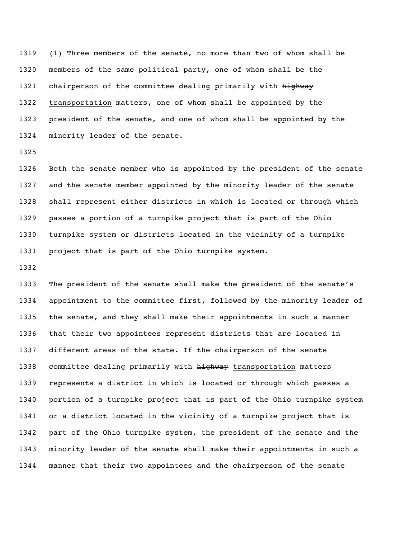(1) Three members of the senate, no more than two of whom shall be members of the same political party, one of whom shall be the 1321 chairperson of the committee dealing primarily with highway transportation matters, one of whom shall be appointed by the president of the senate, and one of whom shall be appointed by the minority leader of the senate.

 Both the senate member who is appointed by the president of the senate and the senate member appointed by the minority leader of the senate shall represent either districts in which is located or through which passes a portion of a turnpike project that is part of the Ohio turnpike system or districts located in the vicinity of a turnpike project that is part of the Ohio turnpike system.

 The president of the senate shall make the president of the senate's appointment to the committee first, followed by the minority leader of the senate, and they shall make their appointments in such a manner that their two appointees represent districts that are located in different areas of the state. If the chairperson of the senate 1338 committee dealing primarily with highway transportation matters represents a district in which is located or through which passes a portion of a turnpike project that is part of the Ohio turnpike system or a district located in the vicinity of a turnpike project that is part of the Ohio turnpike system, the president of the senate and the minority leader of the senate shall make their appointments in such a manner that their two appointees and the chairperson of the senate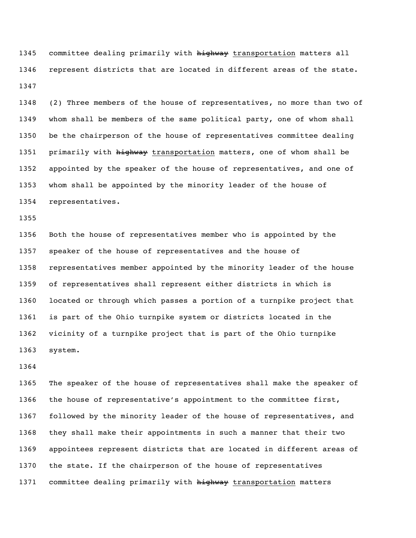1345 committee dealing primarily with highway transportation matters all represent districts that are located in different areas of the state. 

 (2) Three members of the house of representatives, no more than two of whom shall be members of the same political party, one of whom shall be the chairperson of the house of representatives committee dealing 1351 primarily with highway transportation matters, one of whom shall be appointed by the speaker of the house of representatives, and one of whom shall be appointed by the minority leader of the house of representatives.

 Both the house of representatives member who is appointed by the speaker of the house of representatives and the house of representatives member appointed by the minority leader of the house of representatives shall represent either districts in which is located or through which passes a portion of a turnpike project that is part of the Ohio turnpike system or districts located in the vicinity of a turnpike project that is part of the Ohio turnpike system.

 The speaker of the house of representatives shall make the speaker of the house of representative's appointment to the committee first, followed by the minority leader of the house of representatives, and they shall make their appointments in such a manner that their two appointees represent districts that are located in different areas of the state. If the chairperson of the house of representatives 1371 committee dealing primarily with highway transportation matters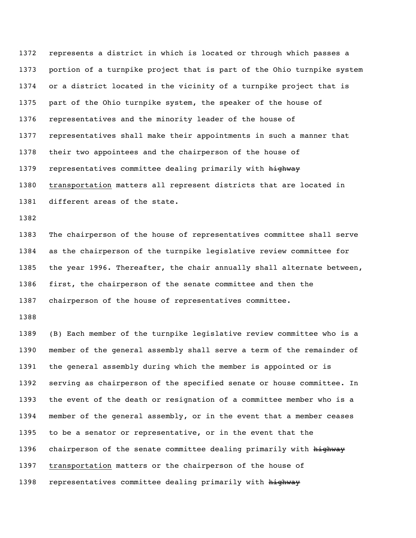represents a district in which is located or through which passes a portion of a turnpike project that is part of the Ohio turnpike system or a district located in the vicinity of a turnpike project that is part of the Ohio turnpike system, the speaker of the house of representatives and the minority leader of the house of representatives shall make their appointments in such a manner that their two appointees and the chairperson of the house of 1379 representatives committee dealing primarily with highway transportation matters all represent districts that are located in different areas of the state.

 The chairperson of the house of representatives committee shall serve as the chairperson of the turnpike legislative review committee for 1385 the year 1996. Thereafter, the chair annually shall alternate between, first, the chairperson of the senate committee and then the chairperson of the house of representatives committee.

 (B) Each member of the turnpike legislative review committee who is a member of the general assembly shall serve a term of the remainder of the general assembly during which the member is appointed or is serving as chairperson of the specified senate or house committee. In the event of the death or resignation of a committee member who is a member of the general assembly, or in the event that a member ceases to be a senator or representative, or in the event that the 1396 chairperson of the senate committee dealing primarily with highway transportation matters or the chairperson of the house of 1398 representatives committee dealing primarily with highway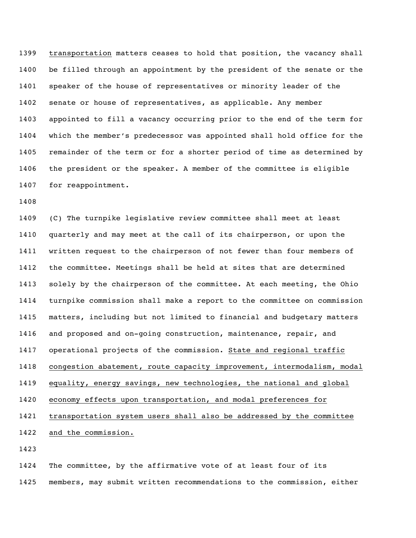transportation matters ceases to hold that position, the vacancy shall be filled through an appointment by the president of the senate or the speaker of the house of representatives or minority leader of the senate or house of representatives, as applicable. Any member appointed to fill a vacancy occurring prior to the end of the term for which the member's predecessor was appointed shall hold office for the remainder of the term or for a shorter period of time as determined by the president or the speaker. A member of the committee is eligible for reappointment.

 (C) The turnpike legislative review committee shall meet at least quarterly and may meet at the call of its chairperson, or upon the written request to the chairperson of not fewer than four members of the committee. Meetings shall be held at sites that are determined solely by the chairperson of the committee. At each meeting, the Ohio turnpike commission shall make a report to the committee on commission matters, including but not limited to financial and budgetary matters and proposed and on-going construction, maintenance, repair, and operational projects of the commission. State and regional traffic congestion abatement, route capacity improvement, intermodalism, modal equality, energy savings, new technologies, the national and global economy effects upon transportation, and modal preferences for 1421 transportation system users shall also be addressed by the committee and the commission. 

 The committee, by the affirmative vote of at least four of its members, may submit written recommendations to the commission, either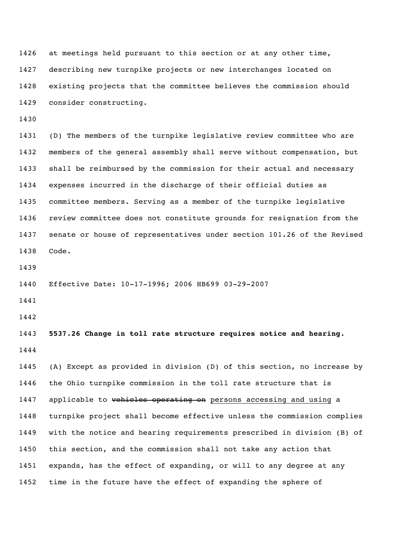at meetings held pursuant to this section or at any other time, describing new turnpike projects or new interchanges located on existing projects that the committee believes the commission should consider constructing.

 (D) The members of the turnpike legislative review committee who are members of the general assembly shall serve without compensation, but shall be reimbursed by the commission for their actual and necessary expenses incurred in the discharge of their official duties as committee members. Serving as a member of the turnpike legislative review committee does not constitute grounds for resignation from the senate or house of representatives under section 101.26 of the Revised Code.

Effective Date: 10-17-1996; 2006 HB699 03-29-2007

 **5537.26 Change in toll rate structure requires notice and hearing.** 

 (A) Except as provided in division (D) of this section, no increase by the Ohio turnpike commission in the toll rate structure that is 1447 applicable to vehicles operating on persons accessing and using a turnpike project shall become effective unless the commission complies with the notice and hearing requirements prescribed in division (B) of this section, and the commission shall not take any action that expands, has the effect of expanding, or will to any degree at any time in the future have the effect of expanding the sphere of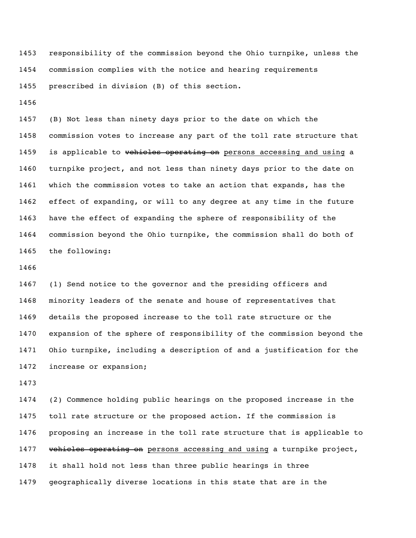responsibility of the commission beyond the Ohio turnpike, unless the commission complies with the notice and hearing requirements prescribed in division (B) of this section.

 (B) Not less than ninety days prior to the date on which the commission votes to increase any part of the toll rate structure that 1459 is applicable to vehicles operating on persons accessing and using a turnpike project, and not less than ninety days prior to the date on which the commission votes to take an action that expands, has the effect of expanding, or will to any degree at any time in the future have the effect of expanding the sphere of responsibility of the commission beyond the Ohio turnpike, the commission shall do both of the following:

 (1) Send notice to the governor and the presiding officers and minority leaders of the senate and house of representatives that details the proposed increase to the toll rate structure or the expansion of the sphere of responsibility of the commission beyond the Ohio turnpike, including a description of and a justification for the increase or expansion;

 (2) Commence holding public hearings on the proposed increase in the toll rate structure or the proposed action. If the commission is proposing an increase in the toll rate structure that is applicable to 1477 vehicles operating on persons accessing and using a turnpike project, it shall hold not less than three public hearings in three geographically diverse locations in this state that are in the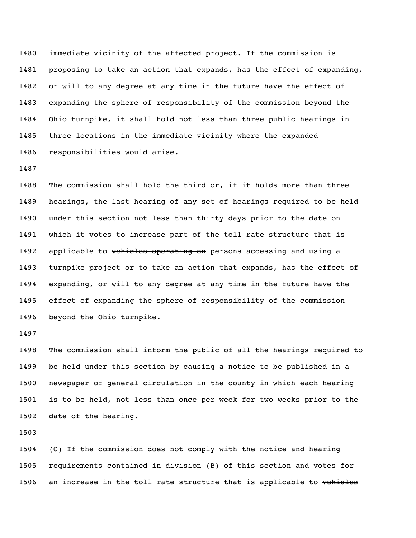immediate vicinity of the affected project. If the commission is proposing to take an action that expands, has the effect of expanding, or will to any degree at any time in the future have the effect of expanding the sphere of responsibility of the commission beyond the Ohio turnpike, it shall hold not less than three public hearings in three locations in the immediate vicinity where the expanded responsibilities would arise.

 The commission shall hold the third or, if it holds more than three hearings, the last hearing of any set of hearings required to be held under this section not less than thirty days prior to the date on which it votes to increase part of the toll rate structure that is 1492 applicable to vehicles operating on persons accessing and using a turnpike project or to take an action that expands, has the effect of expanding, or will to any degree at any time in the future have the effect of expanding the sphere of responsibility of the commission beyond the Ohio turnpike.

 The commission shall inform the public of all the hearings required to be held under this section by causing a notice to be published in a newspaper of general circulation in the county in which each hearing is to be held, not less than once per week for two weeks prior to the date of the hearing.

 (C) If the commission does not comply with the notice and hearing requirements contained in division (B) of this section and votes for 1506 an increase in the toll rate structure that is applicable to vehicles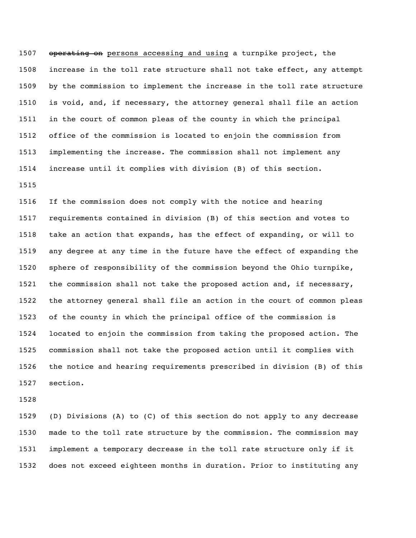1507 operating on persons accessing and using a turnpike project, the increase in the toll rate structure shall not take effect, any attempt by the commission to implement the increase in the toll rate structure is void, and, if necessary, the attorney general shall file an action in the court of common pleas of the county in which the principal office of the commission is located to enjoin the commission from implementing the increase. The commission shall not implement any increase until it complies with division (B) of this section.

 If the commission does not comply with the notice and hearing requirements contained in division (B) of this section and votes to take an action that expands, has the effect of expanding, or will to any degree at any time in the future have the effect of expanding the sphere of responsibility of the commission beyond the Ohio turnpike, the commission shall not take the proposed action and, if necessary, the attorney general shall file an action in the court of common pleas of the county in which the principal office of the commission is located to enjoin the commission from taking the proposed action. The commission shall not take the proposed action until it complies with the notice and hearing requirements prescribed in division (B) of this section.

 (D) Divisions (A) to (C) of this section do not apply to any decrease made to the toll rate structure by the commission. The commission may implement a temporary decrease in the toll rate structure only if it does not exceed eighteen months in duration. Prior to instituting any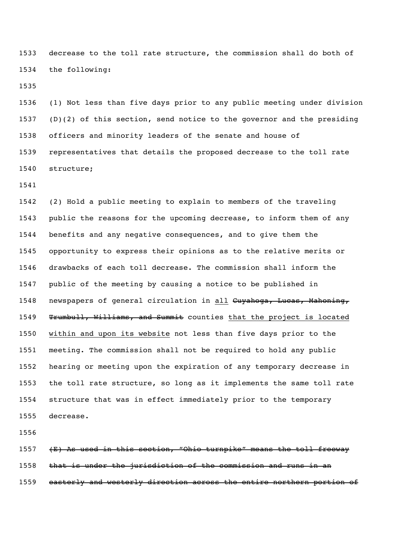decrease to the toll rate structure, the commission shall do both of the following:

 (1) Not less than five days prior to any public meeting under division (D)(2) of this section, send notice to the governor and the presiding officers and minority leaders of the senate and house of representatives that details the proposed decrease to the toll rate structure;

 (2) Hold a public meeting to explain to members of the traveling public the reasons for the upcoming decrease, to inform them of any benefits and any negative consequences, and to give them the opportunity to express their opinions as to the relative merits or drawbacks of each toll decrease. The commission shall inform the public of the meeting by causing a notice to be published in 1548 newspapers of general circulation in all Cuyahoga, Lucas, Mahoning, 1549 Trumbull, Williams, and Summit counties that the project is located within and upon its website not less than five days prior to the meeting. The commission shall not be required to hold any public hearing or meeting upon the expiration of any temporary decrease in the toll rate structure, so long as it implements the same toll rate structure that was in effect immediately prior to the temporary decrease.

 (E) As used in this section, "Ohio turnpike" means the toll freeway that is under the jurisdiction of the commission and runs in an 1559 easterly and westerly direction across the entire northern portion of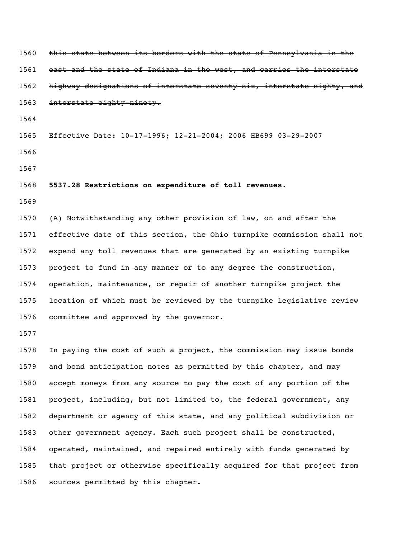1560 this state between its borders with the state of Pennsylvania in the 1561 east and the state of Indiana in the west, and carries the interstate 1562 highway designations of interstate seventy-six, interstate eighty, and interstate eighty-ninety. Effective Date: 10-17-1996; 12-21-2004; 2006 HB699 03-29-2007 **5537.28 Restrictions on expenditure of toll revenues.** (A) Notwithstanding any other provision of law, on and after the effective date of this section, the Ohio turnpike commission shall not expend any toll revenues that are generated by an existing turnpike project to fund in any manner or to any degree the construction, operation, maintenance, or repair of another turnpike project the location of which must be reviewed by the turnpike legislative review committee and approved by the governor. 

 In paying the cost of such a project, the commission may issue bonds and bond anticipation notes as permitted by this chapter, and may accept moneys from any source to pay the cost of any portion of the project, including, but not limited to, the federal government, any department or agency of this state, and any political subdivision or other government agency. Each such project shall be constructed, operated, maintained, and repaired entirely with funds generated by that project or otherwise specifically acquired for that project from sources permitted by this chapter.